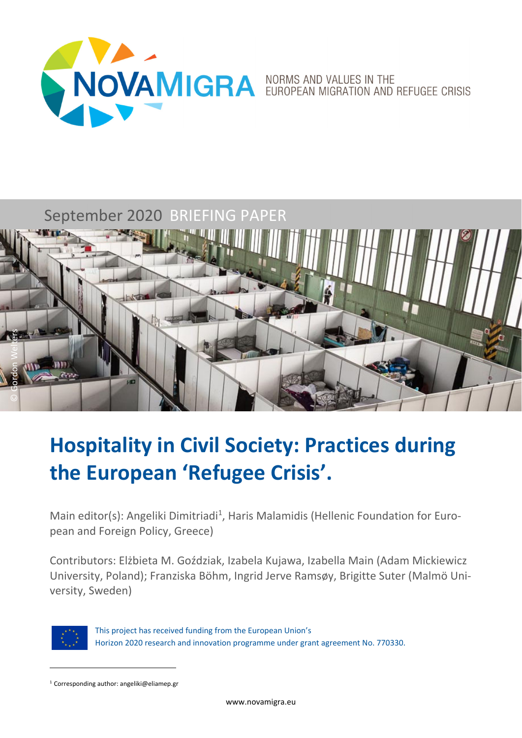

# September 2020 BRIEFING PAPER



# **Hospitality in Civil Society: Practices during the European 'Refugee Crisis'.**

Main editor(s): Angeliki Dimitriadi<sup>1</sup>, Haris Malamidis (Hellenic Foundation for European and Foreign Policy, Greece)

Contributors: Elżbieta M. Goździak, Izabela Kujawa, Izabella Main (Adam Mickiewicz University, Poland); Franziska Böhm, Ingrid Jerve Ramsøy, Brigitte Suter (Malmö Uni‐ versity, Sweden)



This project has received funding from the European Union's Horizon 2020 research and innovation programme under grant agreement No. 770330.

<sup>1</sup> Corresponding author: angeliki@eliamep.gr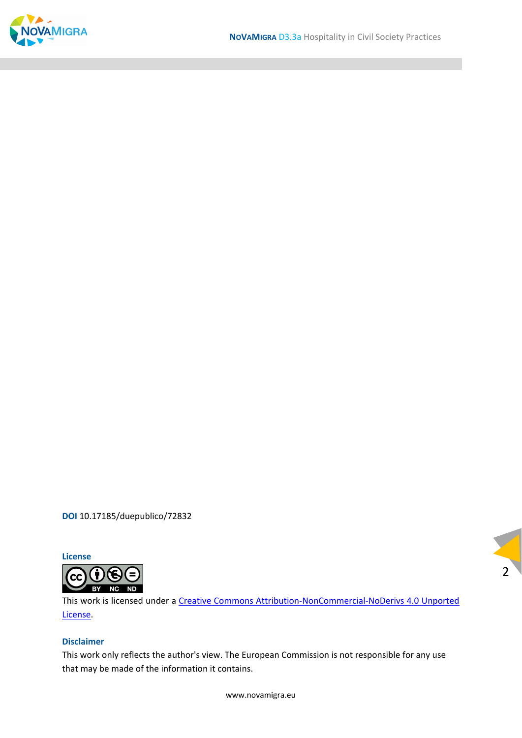

**DOI** 10.17185/duepublico/72832



This work is licensed under a Creative Commons Attribution‐NonCommercial‐NoDerivs 4.0 Unported License.

 $2<sup>1</sup>$ 

#### **Disclaimer**

This work only reflects the author's view. The European Commission is not responsible for any use that may be made of the information it contains.

www.novamigra.eu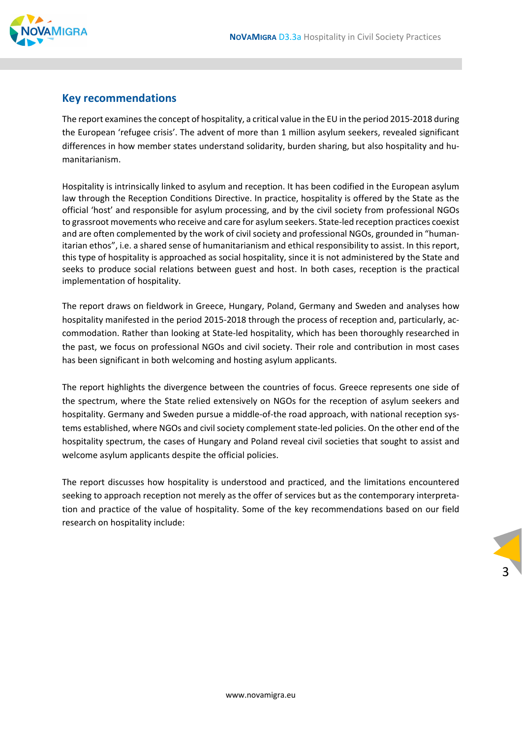

#### **Key recommendations**

The report examines the concept of hospitality, a critical value in the EU in the period 2015-2018 during the European 'refugee crisis'. The advent of more than 1 million asylum seekers, revealed significant differences in how member states understand solidarity, burden sharing, but also hospitality and hu‐ manitarianism.

Hospitality is intrinsically linked to asylum and reception. It has been codified in the European asylum law through the Reception Conditions Directive. In practice, hospitality is offered by the State as the official 'host' and responsible for asylum processing, and by the civil society from professional NGOs to grassroot movements who receive and care for asylum seekers. State-led reception practices coexist and are often complemented by the work of civil society and professional NGOs, grounded in "human‐ itarian ethos", i.e. a shared sense of humanitarianism and ethical responsibility to assist. In this report, this type of hospitality is approached as social hospitality, since it is not administered by the State and seeks to produce social relations between guest and host. In both cases, reception is the practical implementation of hospitality.

The report draws on fieldwork in Greece, Hungary, Poland, Germany and Sweden and analyses how hospitality manifested in the period 2015-2018 through the process of reception and, particularly, accommodation. Rather than looking at State‐led hospitality, which has been thoroughly researched in the past, we focus on professional NGOs and civil society. Their role and contribution in most cases has been significant in both welcoming and hosting asylum applicants.

The report highlights the divergence between the countries of focus. Greece represents one side of the spectrum, where the State relied extensively on NGOs for the reception of asylum seekers and hospitality. Germany and Sweden pursue a middle-of-the road approach, with national reception systems established, where NGOs and civil society complement state-led policies. On the other end of the hospitality spectrum, the cases of Hungary and Poland reveal civil societies that sought to assist and welcome asylum applicants despite the official policies.

The report discusses how hospitality is understood and practiced, and the limitations encountered seeking to approach reception not merely as the offer of services but as the contemporary interpretation and practice of the value of hospitality. Some of the key recommendations based on our field research on hospitality include:

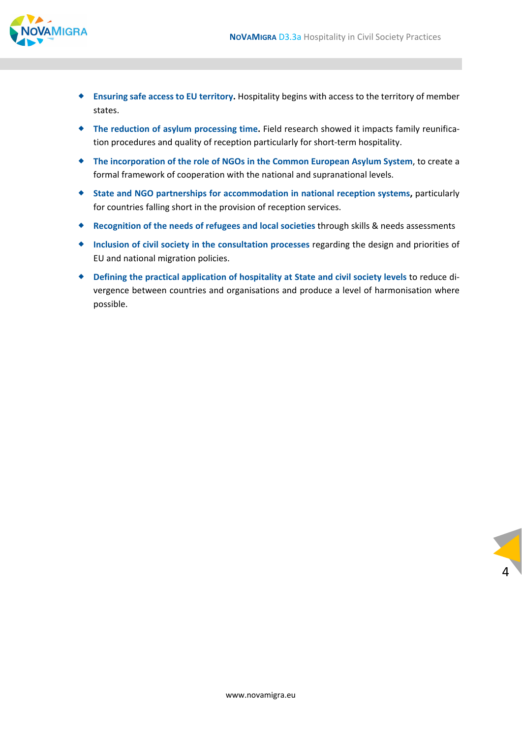

- **Ensuring safe access to EU territory.** Hospitality begins with access to the territory of member states.
- ◆ The reduction of asylum processing time. Field research showed it impacts family reunification procedures and quality of reception particularly for short-term hospitality.
- **The incorporation of the role of NGOs in the Common European Asylum System**, to create a formal framework of cooperation with the national and supranational levels.
- **State and NGO partnerships for accommodation in national reception systems,** particularly for countries falling short in the provision of reception services.
- **Recognition of the needs of refugees and local societies** through skills & needs assessments
- **Inclusion of civil society in the consultation processes** regarding the design and priorities of EU and national migration policies.
- **Defining the practical application of hospitality at State and civil society levels** to reduce di‐ vergence between countries and organisations and produce a level of harmonisation where possible.

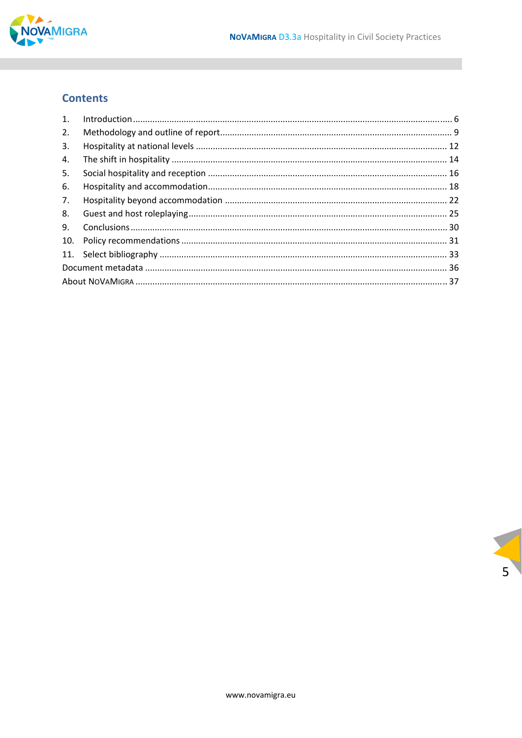

# **Contents**

| $\mathbf{1}$ . |  |  |  |  |
|----------------|--|--|--|--|
| 2.             |  |  |  |  |
| 3.             |  |  |  |  |
| 4.             |  |  |  |  |
| 5.             |  |  |  |  |
| 6.             |  |  |  |  |
| 7.             |  |  |  |  |
| 8.             |  |  |  |  |
| 9.             |  |  |  |  |
| 10.            |  |  |  |  |
|                |  |  |  |  |
|                |  |  |  |  |
|                |  |  |  |  |

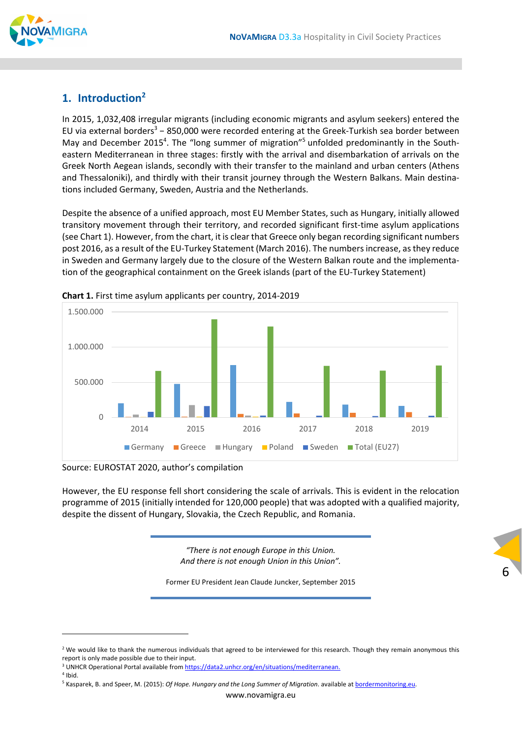

# **1. Introduction2**

In 2015, 1,032,408 irregular migrants (including economic migrants and asylum seekers) entered the EU via external borders<sup>3</sup> - 850,000 were recorded entering at the Greek-Turkish sea border between May and December 2015<sup>4</sup>. The "long summer of migration"<sup>5</sup> unfolded predominantly in the Southeastern Mediterranean in three stages: firstly with the arrival and disembarkation of arrivals on the Greek North Aegean islands, secondly with their transfer to the mainland and urban centers (Athens and Thessaloniki), and thirdly with their transit journey through the Western Balkans. Main destina‐ tions included Germany, Sweden, Austria and the Netherlands.

Despite the absence of a unified approach, most EU Member States, such as Hungary, initially allowed transitory movement through their territory, and recorded significant first-time asylum applications (see Chart 1). However, from the chart, it is clear that Greece only began recording significant numbers post 2016, as a result of the EU‐Turkey Statement (March 2016). The numbersincrease, asthey reduce in Sweden and Germany largely due to the closure of the Western Balkan route and the implementa‐ tion of the geographical containment on the Greek islands (part of the EU‐Turkey Statement)



**Chart 1.** First time asylum applicants per country, 2014‐2019

Source: EUROSTAT 2020, author's compilation

However, the EU response fell short considering the scale of arrivals. This is evident in the relocation programme of 2015 (initially intended for 120,000 people) that was adopted with a qualified majority, despite the dissent of Hungary, Slovakia, the Czech Republic, and Romania.

> *"There is not enough Europe in this Union. And there is not enough Union in this Union".*

Former EU President Jean Claude Juncker, September 2015

<sup>&</sup>lt;sup>2</sup> We would like to thank the numerous individuals that agreed to be interviewed for this research. Though they remain anonymous this report is only made possible due to their input.

<sup>&</sup>lt;sup>3</sup> UNHCR Operational Portal available from https://data2.unhcr.org/en/situations/mediterranean.

 $<sup>4</sup>$  Ibid.</sup>

<sup>5</sup> Kasparek, B. and Speer, M. (2015): *Of Hope. Hungary and the Long Summer of Migration*. available at bordermonitoring.eu.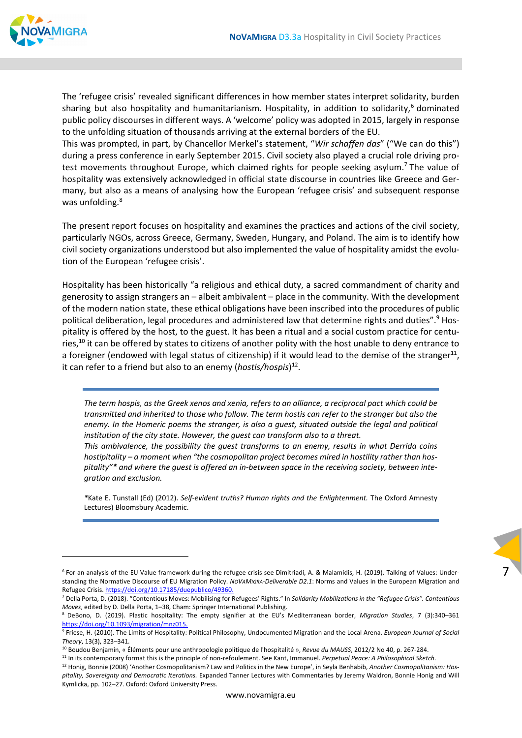

The 'refugee crisis' revealed significant differences in how member states interpret solidarity, burden sharing but also hospitality and humanitarianism. Hospitality, in addition to solidarity,<sup>6</sup> dominated public policy discourses in different ways. A 'welcome' policy was adopted in 2015, largely in response to the unfolding situation of thousands arriving at the external borders of the EU.

This was prompted, in part, by Chancellor Merkel's statement, "*Wir schaffen das*" ("We can do this") during a press conference in early September 2015. Civil society also played a crucial role driving pro‐ test movements throughout Europe, which claimed rights for people seeking asylum.<sup>7</sup> The value of hospitality was extensively acknowledged in official state discourse in countries like Greece and Ger‐ many, but also as a means of analysing how the European 'refugee crisis' and subsequent response was unfolding.<sup>8</sup>

The present report focuses on hospitality and examines the practices and actions of the civil society, particularly NGOs, across Greece, Germany, Sweden, Hungary, and Poland. The aim is to identify how civil society organizations understood but also implemented the value of hospitality amidst the evolution of the European 'refugee crisis'.

Hospitality has been historically "a religious and ethical duty, a sacred commandment of charity and generosity to assign strangers an – albeit ambivalent – place in the community. With the development of the modern nation state, these ethical obligations have been inscribed into the procedures of public political deliberation, legal procedures and administered law that determine rights and duties".<sup>9</sup> Hospitality is offered by the host, to the guest. It has been a ritual and a social custom practice for centu‐ ries,<sup>10</sup> it can be offered by states to citizens of another polity with the host unable to deny entrance to a foreigner (endowed with legal status of citizenship) if it would lead to the demise of the stranger<sup>11</sup>, it can refer to a friend but also to an enemy (*hostis/hospis*) 12.

The term hospis, as the Greek xenos and xenia, refers to an alliance, a reciprocal pact which could be transmitted and inherited to those who follow. The term hostis can refer to the stranger but also the *enemy. In the Homeric poems the stranger, is also a guest, situated outside the legal and political institution of the city state. However, the guest can transform also to a threat.* 

*This ambivalence, the possibility the guest transforms to an enemy, results in what Derrida coins hostipitality – a moment when "the cosmopolitan project becomes mired in hostility rather than hos‐* pitality"\* and where the guest is offered an in-between space in the receiving society, between inte*gration and exclusion.*

*\**Kate E. Tunstall (Ed) (2012). *Self‐evident truths? Human rights and the Enlightenment.* The Oxford Amnesty Lectures) Bloomsbury Academic.



<sup>&</sup>lt;sup>6</sup> For an analysis of the EU Value framework during the refugee crisis see Dimitriadi, A. & Malamidis, H. (2019). Talking of Values: Understanding the Normative Discourse of EU Migration Policy. *NOVAMIGRA‐Deliverable D2.1*: Norms and Values in the European Migration and Refugee Crisis. https://doi.org/10.17185/duepublico/49360.

<sup>7</sup> Della Porta, D. (2018). "Contentious Moves: Mobilising for Refugees' Rights." In *Solidarity Mobilizations in the "Refugee Crisis". Contentious Moves*, edited by D. Della Porta, 1–38, Cham: Springer International Publishing.

<sup>8</sup> DeBono, D. (2019). Plastic hospitality: The empty signifier at the EU's Mediterranean border, *Migration Studies*, 7 (3):340–361 https://doi.org/10.1093/migration/mnz015.

<sup>9</sup> Friese, H. (2010). The Limits of Hospitality: Political Philosophy, Undocumented Migration and the Local Arena. *European Journal of Social Theory*, 13(3), 323–341.

<sup>10</sup> Boudou Benjamin, « Éléments pour une anthropologie politique de l'hospitalité », *Revue du MAUSS*, 2012/2 No 40, p. 267‐284.

<sup>11</sup> In its contemporary format this is the principle of non‐refoulement. See Kant, Immanuel. *Perpetual Peace: A Philosophical Sketch.* <sup>12</sup> Honig, Bonnie (2008) 'Another Cosmopolitanism? Law and Politics in the New Europe', in Seyla Benhabib, *Another Cosmopolitanism: Hos‐*

*pitality, Sovereignty and Democratic Iterations.* Expanded Tanner Lectures with Commentaries by Jeremy Waldron, Bonnie Honig and Will Kymlicka, pp. 102–27. Oxford: Oxford University Press.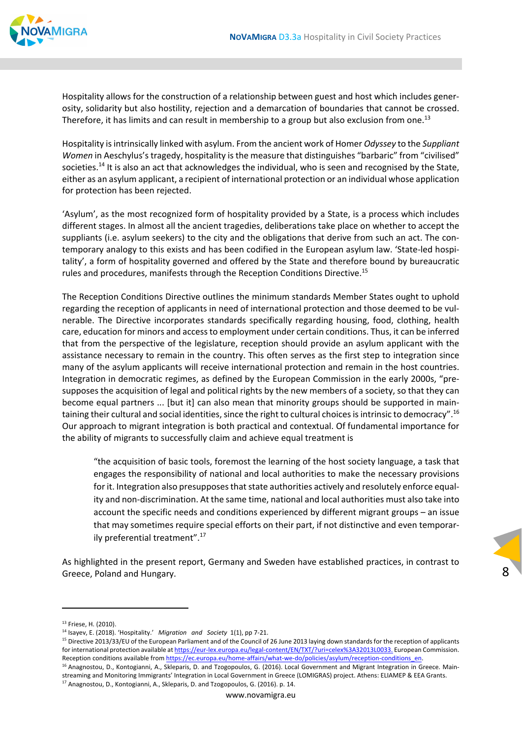

Hospitality allows for the construction of a relationship between guest and host which includes gener‐ osity, solidarity but also hostility, rejection and a demarcation of boundaries that cannot be crossed. Therefore, it has limits and can result in membership to a group but also exclusion from one.<sup>13</sup>

Hospitality isintrinsically linked with asylum. From the ancient work of Homer *Odyssey* to the *Suppliant Women* in Aeschylus's tragedy, hospitality is the measure that distinguishes "barbaric" from "civilised" societies.<sup>14</sup> It is also an act that acknowledges the individual, who is seen and recognised by the State, either as an asylum applicant, a recipient of international protection or an individual whose application for protection has been rejected.

'Asylum', as the most recognized form of hospitality provided by a State, is a process which includes different stages. In almost all the ancient tragedies, deliberations take place on whether to accept the suppliants (i.e. asylum seekers) to the city and the obligations that derive from such an act. The contemporary analogy to this exists and has been codified in the European asylum law. 'State-led hospitality', a form of hospitality governed and offered by the State and therefore bound by bureaucratic rules and procedures, manifests through the Reception Conditions Directive.<sup>15</sup>

The Reception Conditions Directive outlines the minimum standards Member States ought to uphold regarding the reception of applicants in need of international protection and those deemed to be vulnerable. The Directive incorporates standards specifically regarding housing, food, clothing, health care, education for minors and accessto employment under certain conditions. Thus, it can be inferred that from the perspective of the legislature, reception should provide an asylum applicant with the assistance necessary to remain in the country. This often serves as the first step to integration since many of the asylum applicants will receive international protection and remain in the host countries. Integration in democratic regimes, as defined by the European Commission in the early 2000s, "pre‐ supposes the acquisition of legal and political rights by the new members of a society, so that they can become equal partners ... [but it] can also mean that minority groups should be supported in maintaining their cultural and social identities, since the right to cultural choices is intrinsic to democracy".<sup>16</sup> Our approach to migrant integration is both practical and contextual. Of fundamental importance for the ability of migrants to successfully claim and achieve equal treatment is

"the acquisition of basic tools, foremost the learning of the host society language, a task that engages the responsibility of national and local authorities to make the necessary provisions for it. Integration also presupposes that state authorities actively and resolutely enforce equality and non‐discrimination. At the same time, national and local authorities must also take into account the specific needs and conditions experienced by different migrant groups – an issue that may sometimes require special efforts on their part, if not distinctive and even temporar‐ ily preferential treatment".17

8

As highlighted in the present report, Germany and Sweden have established practices, in contrast to Greece, Poland and Hungary.

<sup>13</sup> Friese, H. (2010).

<sup>14</sup> Isayev, E. (2018). 'Hospitality.' *Migration and Society* 1(1), pp 7‐21.

<sup>&</sup>lt;sup>15</sup> Directive 2013/33/EU of the European Parliament and of the Council of 26 June 2013 laying down standards for the reception of applicants forinternational protection available at https://eur‐lex.europa.eu/legal‐content/EN/TXT/?uri=celex%3A32013L0033. European Commission. Reception conditions available from https://ec.europa.eu/home-affairs/what-we-do/policies/asylum/reception-conditions\_en

<sup>&</sup>lt;sup>16</sup> Anagnostou, D., Kontogianni, A., Skleparis, D. and Tzogopoulos, G. (2016). Local Government and Migrant Integration in Greece. Mainstreaming and Monitoring Immigrants' Integration in Local Government in Greece (LOMIGRAS) project. Athens: ELIAMEP & EEA Grants. <sup>17</sup> Anagnostou, D., Kontogianni, A., Skleparis, D. and Tzogopoulos, G. (2016). p. 14.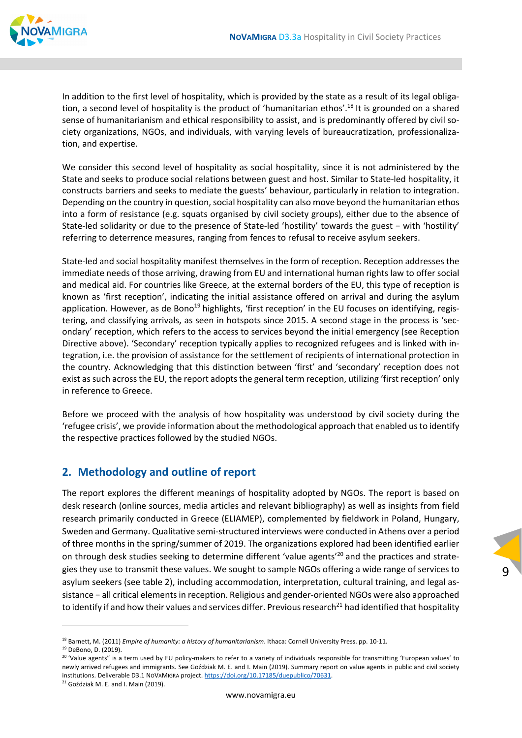

In addition to the first level of hospitality, which is provided by the state as a result of its legal obligation, a second level of hospitality is the product of 'humanitarian ethos'.<sup>18</sup> It is grounded on a shared sense of humanitarianism and ethical responsibility to assist, and is predominantly offered by civil society organizations, NGOs, and individuals, with varying levels of bureaucratization, professionaliza‐ tion, and expertise.

We consider this second level of hospitality as social hospitality, since it is not administered by the State and seeks to produce social relations between guest and host. Similar to State‐led hospitality, it constructs barriers and seeks to mediate the guests' behaviour, particularly in relation to integration. Depending on the country in question, social hospitality can also move beyond the humanitarian ethos into a form of resistance (e.g. squats organised by civil society groups), either due to the absence of State‐led solidarity or due to the presence of State‐led 'hostility' towards the guest − with 'hostility' referring to deterrence measures, ranging from fences to refusal to receive asylum seekers.

State‐led and social hospitality manifest themselves in the form of reception. Reception addresses the immediate needs of those arriving, drawing from EU and international human rights law to offer social and medical aid. For countries like Greece, at the external borders of the EU, this type of reception is known as 'first reception', indicating the initial assistance offered on arrival and during the asylum application. However, as de Bono<sup>19</sup> highlights, 'first reception' in the EU focuses on identifying, registering, and classifying arrivals, as seen in hotspots since 2015. A second stage in the process is 'secondary' reception, which refers to the access to services beyond the initial emergency (see Reception Directive above). 'Secondary' reception typically applies to recognized refugees and is linked with in‐ tegration, i.e. the provision of assistance for the settlement of recipients of international protection in the country. Acknowledging that this distinction between 'first' and 'secondary' reception does not exist as such across the EU, the report adopts the general term reception, utilizing 'first reception' only in reference to Greece.

Before we proceed with the analysis of how hospitality was understood by civil society during the 'refugee crisis', we provide information about the methodological approach that enabled usto identify the respective practices followed by the studied NGOs.

#### **2. Methodology and outline of report**

The report explores the different meanings of hospitality adopted by NGOs. The report is based on desk research (online sources, media articles and relevant bibliography) as well as insights from field research primarily conducted in Greece (ELIAMEP), complemented by fieldwork in Poland, Hungary, Sweden and Germany. Qualitative semi‐structured interviews were conducted in Athens over a period of three months in the spring/summer of 2019. The organizations explored had been identified earlier on through desk studies seeking to determine different 'value agents'<sup>20</sup> and the practices and strategies they use to transmit these values. We sought to sample NGOs offering a wide range of services to asylum seekers (see table 2), including accommodation, interpretation, cultural training, and legal as‐ sistance − all critical elements in reception. Religious and gender-oriented NGOs were also approached to identify if and how their values and services differ. Previous research<sup>21</sup> had identified that hospitality

<sup>18</sup> Barnett, M. (2011) *Empire of humanity: a history of humanitarianism*. Ithaca: Cornell University Press. pp. 10‐11.

<sup>19</sup> DeBono, D. (2019).

<sup>&</sup>lt;sup>20</sup> 'Value agents" is a term used by EU policy-makers to refer to a variety of individuals responsible for transmitting 'European values' to newly arrived refugees and immigrants. See Goździak M. E. and I. Main (2019). Summary report on value agents in public and civil society institutions. Deliverable D3.1 NoVAMIGRA project. https://doi.org/10.17185/duepublico/70631.

<sup>&</sup>lt;sup>21</sup> Goździak M. E. and I. Main (2019).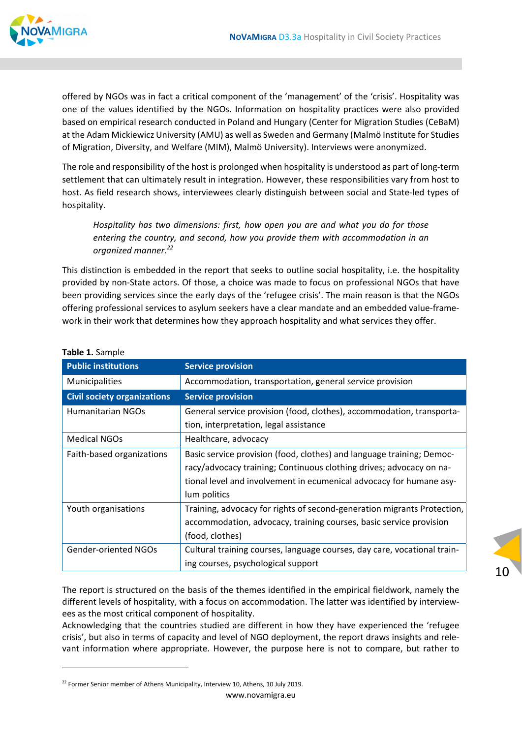

offered by NGOs was in fact a critical component of the 'management' of the 'crisis'. Hospitality was one of the values identified by the NGOs. Information on hospitality practices were also provided based on empirical research conducted in Poland and Hungary (Center for Migration Studies (CeBaM) at the Adam Mickiewicz University (AMU) as well as Sweden and Germany (Malmö Institute for Studies of Migration, Diversity, and Welfare (MIM), Malmö University). Interviews were anonymized.

The role and responsibility of the host is prolonged when hospitality is understood as part of long‐term settlement that can ultimately result in integration. However, these responsibilities vary from host to host. As field research shows, interviewees clearly distinguish between social and State-led types of hospitality.

*Hospitality has two dimensions: first, how open you are and what you do for those entering the country, and second, how you provide them with accommodation in an organized manner.22*

This distinction is embedded in the report that seeks to outline social hospitality, i.e. the hospitality provided by non‐State actors. Of those, a choice was made to focus on professional NGOs that have been providing services since the early days of the 'refugee crisis'. The main reason is that the NGOs offering professional services to asylum seekers have a clear mandate and an embedded value‐frame‐ work in their work that determines how they approach hospitality and what services they offer.

| <b>Public institutions</b>         | <b>Service provision</b>                                                 |  |  |
|------------------------------------|--------------------------------------------------------------------------|--|--|
| Municipalities                     | Accommodation, transportation, general service provision                 |  |  |
| <b>Civil society organizations</b> | <b>Service provision</b>                                                 |  |  |
| <b>Humanitarian NGOs</b>           | General service provision (food, clothes), accommodation, transporta-    |  |  |
|                                    | tion, interpretation, legal assistance                                   |  |  |
| <b>Medical NGOs</b>                | Healthcare, advocacy                                                     |  |  |
| Faith-based organizations          | Basic service provision (food, clothes) and language training; Democ-    |  |  |
|                                    | racy/advocacy training; Continuous clothing drives; advocacy on na-      |  |  |
|                                    | tional level and involvement in ecumenical advocacy for humane asy-      |  |  |
|                                    | lum politics                                                             |  |  |
| Youth organisations                | Training, advocacy for rights of second-generation migrants Protection,  |  |  |
|                                    | accommodation, advocacy, training courses, basic service provision       |  |  |
|                                    | (food, clothes)                                                          |  |  |
| <b>Gender-oriented NGOs</b>        | Cultural training courses, language courses, day care, vocational train- |  |  |
|                                    | ing courses, psychological support                                       |  |  |

#### **Table 1.** Sample

The report is structured on the basis of the themes identified in the empirical fieldwork, namely the different levels of hospitality, with a focus on accommodation. The latter was identified by interview‐ ees as the most critical component of hospitality.

Acknowledging that the countries studied are different in how they have experienced the 'refugee crisis', but also in terms of capacity and level of NGO deployment, the report draws insights and rele‐ vant information where appropriate. However, the purpose here is not to compare, but rather to

www.novamigra.eu

<sup>&</sup>lt;sup>22</sup> Former Senior member of Athens Municipality, Interview 10, Athens, 10 July 2019.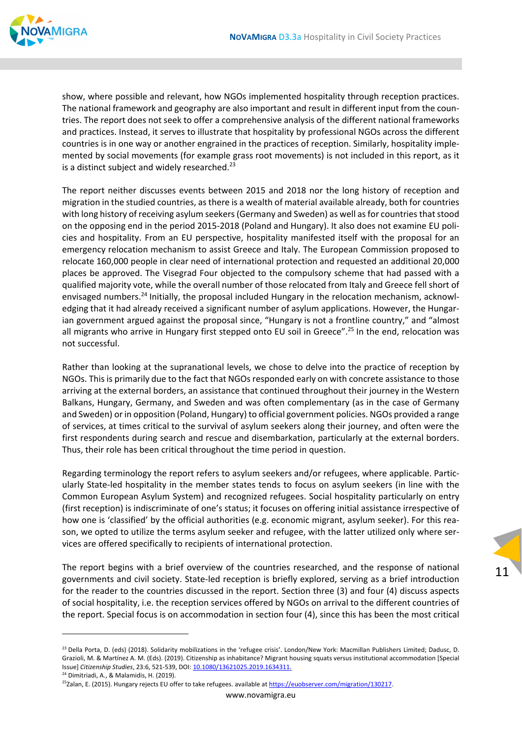

show, where possible and relevant, how NGOs implemented hospitality through reception practices. The national framework and geography are also important and result in different input from the coun‐ tries. The report does not seek to offer a comprehensive analysis of the different national frameworks and practices. Instead, it serves to illustrate that hospitality by professional NGOs across the different countries is in one way or another engrained in the practices of reception. Similarly, hospitality imple‐ mented by social movements (for example grass root movements) is not included in this report, as it is a distinct subject and widely researched.<sup>23</sup>

The report neither discusses events between 2015 and 2018 nor the long history of reception and migration in the studied countries, as there is a wealth of material available already, both for countries with long history of receiving asylum seekers (Germany and Sweden) as well as for countries that stood on the opposing end in the period 2015‐2018 (Poland and Hungary). It also does not examine EU poli‐ cies and hospitality. From an EU perspective, hospitality manifested itself with the proposal for an emergency relocation mechanism to assist Greece and Italy. The European Commission proposed to relocate 160,000 people in clear need of international protection and requested an additional 20,000 places be approved. The Visegrad Four objected to the compulsory scheme that had passed with a qualified majority vote, while the overall number of those relocated from Italy and Greece fell short of envisaged numbers.<sup>24</sup> Initially, the proposal included Hungary in the relocation mechanism, acknowledging that it had already received a significant number of asylum applications. However, the Hungarian government argued against the proposal since, "Hungary is not a frontline country," and "almost all migrants who arrive in Hungary first stepped onto EU soil in Greece".<sup>25</sup> In the end, relocation was not successful.

Rather than looking at the supranational levels, we chose to delve into the practice of reception by NGOs. This is primarily due to the fact that NGOs responded early on with concrete assistance to those arriving at the external borders, an assistance that continued throughout their journey in the Western Balkans, Hungary, Germany, and Sweden and was often complementary (as in the case of Germany and Sweden) or in opposition (Poland, Hungary) to official government policies. NGOs provided a range of services, at times critical to the survival of asylum seekers along their journey, and often were the first respondents during search and rescue and disembarkation, particularly at the external borders. Thus, their role has been critical throughout the time period in question.

Regarding terminology the report refers to asylum seekers and/or refugees, where applicable. Partic‐ ularly State‐led hospitality in the member states tends to focus on asylum seekers (in line with the Common European Asylum System) and recognized refugees. Social hospitality particularly on entry (first reception) is indiscriminate of one's status; it focuses on offering initial assistance irrespective of how one is 'classified' by the official authorities (e.g. economic migrant, asylum seeker). For this reason, we opted to utilize the terms asylum seeker and refugee, with the latter utilized only where services are offered specifically to recipients of international protection.

The report begins with a brief overview of the countries researched, and the response of national governments and civil society. State‐led reception is briefly explored, serving as a brief introduction for the reader to the countries discussed in the report. Section three (3) and four (4) discuss aspects of social hospitality, i.e. the reception services offered by NGOs on arrival to the different countries of the report. Special focus is on accommodation in section four (4), since this has been the most critical

<sup>&</sup>lt;sup>23</sup> Della Porta, D. (eds) (2018). Solidarity mobilizations in the 'refugee crisis'. London/New York: Macmillan Publishers Limited: Dadusc, D. Grazioli, M. & Martínez A. M. (Eds). (2019). Citizenship as inhabitance? Migrant housing squats versus institutional accommodation [Special Issue] *Citizenship Studies*, 23:6, 521‐539, DOI: 10.1080/13621025.2019.1634311.

<sup>&</sup>lt;sup>24</sup> Dimitriadi, A., & Malamidis, H. (2019).

<sup>&</sup>lt;sup>25</sup>Zalan, E. (2015). Hungary rejects EU offer to take refugees. available at https://euobserver.com/migration/130217.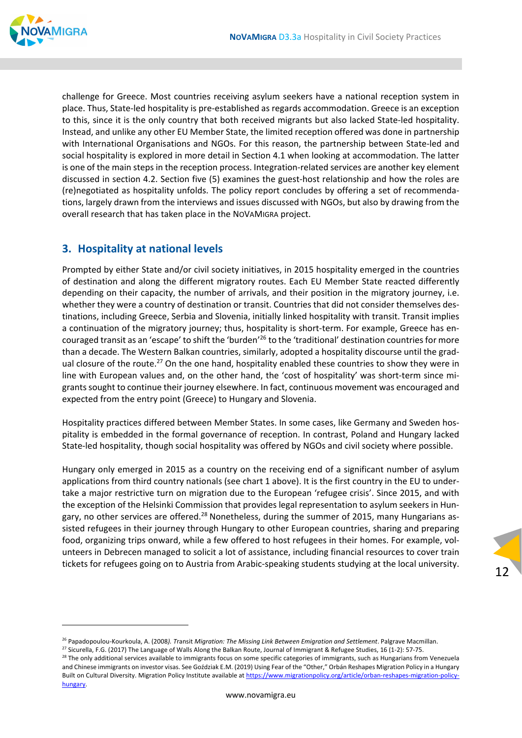

challenge for Greece. Most countries receiving asylum seekers have a national reception system in place. Thus, State‐led hospitality is pre‐established as regards accommodation. Greece is an exception to this, since it is the only country that both received migrants but also lacked State‐led hospitality. Instead, and unlike any other EU Member State, the limited reception offered was done in partnership with International Organisations and NGOs. For this reason, the partnership between State‐led and social hospitality is explored in more detail in Section 4.1 when looking at accommodation. The latter is one of the main steps in the reception process. Integration‐related services are another key element discussed in section 4.2. Section five (5) examines the guest‐host relationship and how the roles are (re)negotiated as hospitality unfolds. The policy report concludes by offering a set of recommenda‐ tions, largely drawn from the interviews and issues discussed with NGOs, but also by drawing from the overall research that has taken place in the NOVAMIGRA project.

#### **3. Hospitality at national levels**

Prompted by either State and/or civil society initiatives, in 2015 hospitality emerged in the countries of destination and along the different migratory routes. Each EU Member State reacted differently depending on their capacity, the number of arrivals, and their position in the migratory journey, i.e. whether they were a country of destination or transit. Countries that did not consider themselves des‐ tinations, including Greece, Serbia and Slovenia, initially linked hospitality with transit. Transit implies a continuation of the migratory journey; thus, hospitality is short-term. For example, Greece has encouraged transit as an 'escape' to shift the 'burden'<sup>26</sup> to the 'traditional' destination countries for more than a decade. The Western Balkan countries, similarly, adopted a hospitality discourse until the grad‐ ual closure of the route.<sup>27</sup> On the one hand, hospitality enabled these countries to show they were in line with European values and, on the other hand, the 'cost of hospitality' was short-term since migrantssought to continue their journey elsewhere. In fact, continuous movement was encouraged and expected from the entry point (Greece) to Hungary and Slovenia.

Hospitality practices differed between Member States. In some cases, like Germany and Sweden hos‐ pitality is embedded in the formal governance of reception. In contrast, Poland and Hungary lacked State‐led hospitality, though social hospitality was offered by NGOs and civil society where possible.

Hungary only emerged in 2015 as a country on the receiving end of a significant number of asylum applications from third country nationals (see chart 1 above). It is the first country in the EU to under‐ take a major restrictive turn on migration due to the European 'refugee crisis'. Since 2015, and with the exception of the Helsinki Commission that provides legal representation to asylum seekers in Hungary, no other services are offered.<sup>28</sup> Nonetheless, during the summer of 2015, many Hungarians assisted refugees in their journey through Hungary to other European countries, sharing and preparing food, organizing trips onward, while a few offered to host refugees in their homes. For example, volunteers in Debrecen managed to solicit a lot of assistance, including financial resources to cover train tickets for refugees going on to Austria from Arabic‐speaking students studying at the local university.

<sup>12</sup>

<sup>26</sup> Papadopoulou*‐*Kourkoula, A. (2008*). T*ransit *Migration: The Missing Link Between Emigration and Settlement*. Palgrave Macmillan.

<sup>&</sup>lt;sup>27</sup> Sicurella, F.G. (2017) The Language of Walls Along the Balkan Route, Journal of Immigrant & Refugee Studies, 16 (1-2): 57-75.

<sup>&</sup>lt;sup>28</sup> The only additional services available to immigrants focus on some specific categories of immigrants, such as Hungarians from Venezuela and Chinese immigrants on investor visas. See Goździak E.M. (2019) Using Fear of the "Other," Orbán Reshapes Migration Policy in a Hungary Built on Cultural Diversity. Migration Policy Institute available at https://www.migrationpolicy.org/article/orban-reshapes-migration-policyhungary.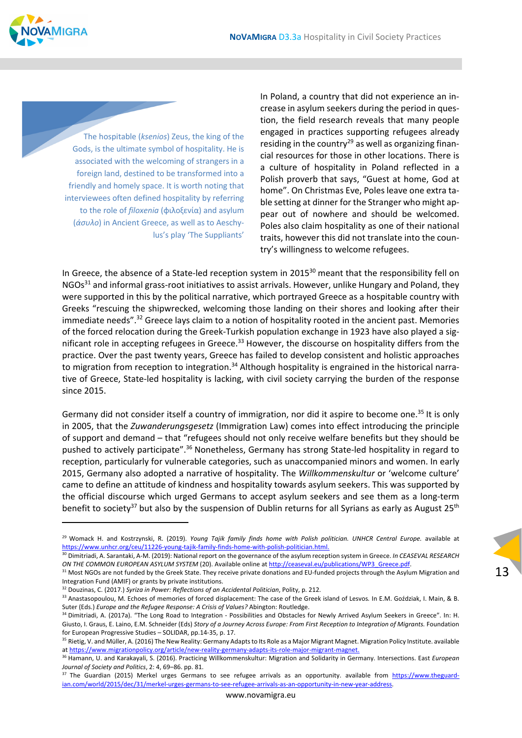

The hospitable (*ksenios*) Zeus, the king of the Gods, is the ultimate symbol of hospitality. He is associated with the welcoming of strangers in a foreign land, destined to be transformed into a friendly and homely space. It is worth noting that interviewees often defined hospitality by referring to the role of *filoxenia* (φιλοξενία) and asylum (*άσυλο*) in Ancient Greece, as well as to Aeschy‐ lus's play 'The Suppliants'

In Poland, a country that did not experience an in‐ crease in asylum seekers during the period in ques‐ tion, the field research reveals that many people engaged in practices supporting refugees already residing in the country<sup>29</sup> as well as organizing financial resources for those in other locations. There is a culture of hospitality in Poland reflected in a Polish proverb that says, "Guest at home, God at home". On Christmas Eve, Poles leave one extra ta‐ ble setting at dinner for the Stranger who might appear out of nowhere and should be welcomed. Poles also claim hospitality as one of their national traits, however this did not translate into the coun‐ try's willingness to welcome refugees.

In Greece, the absence of a State-led reception system in 2015<sup>30</sup> meant that the responsibility fell on NGOs<sup>31</sup> and informal grass-root initiatives to assist arrivals. However, unlike Hungary and Poland, they were supported in this by the political narrative, which portrayed Greece as a hospitable country with Greeks "rescuing the shipwrecked, welcoming those landing on their shores and looking after their immediate needs".<sup>32</sup> Greece lays claim to a notion of hospitality rooted in the ancient past. Memories of the forced relocation during the Greek‐Turkish population exchange in 1923 have also played a sig‐ nificant role in accepting refugees in Greece.<sup>33</sup> However, the discourse on hospitality differs from the practice. Over the past twenty years, Greece has failed to develop consistent and holistic approaches to migration from reception to integration.<sup>34</sup> Although hospitality is engrained in the historical narrative of Greece, State-led hospitality is lacking, with civil society carrying the burden of the response since 2015.

Germany did not consider itself a country of immigration, nor did it aspire to become one.<sup>35</sup> It is only in 2005, that the *Zuwanderungsgesetz* (Immigration Law) comes into effect introducing the principle of support and demand – that "refugees should not only receive welfare benefits but they should be pushed to actively participate".36 Nonetheless, Germany has strong State‐led hospitality in regard to reception, particularly for vulnerable categories, such as unaccompanied minors and women. In early 2015, Germany also adopted a narrative of hospitality. The *Willkommenskultur* or 'welcome culture' came to define an attitude of kindness and hospitality towards asylum seekers. This was supported by the official discourse which urged Germans to accept asylum seekers and see them as a long‐term benefit to society<sup>37</sup> but also by the suspension of Dublin returns for all Syrians as early as August 25<sup>th</sup>

<sup>29</sup> Womack H. and Kostrzynski, R. (2019). *Young Tajik family finds home with Polish politician. UNHCR Central Europe.* available at https://www.unhcr.org/ceu/11226‐young‐tajik‐family‐finds‐home‐with‐polish‐politician.html.

<sup>30</sup> Dimitriadi, A. Sarantaki, A‐M. (2019): National report on the governance of the asylum reception system in Greece. *In CEASEVAL RESEARCH ON THE COMMON EUROPEAN ASYLUM SYSTEM* (20). Available online at http://ceaseval.eu/publications/WP3\_Greece.pdf.

<sup>31</sup> Most NGOs are not funded by the Greek State. They receive private donations and EU-funded projects through the Asylum Migration and Integration Fund (AMIF) or grants by private institutions.

<sup>32</sup> Douzinas, C. (2017.) *Syriza in Power: Reflections of an Accidental Politician*, Polity, p. 212.

<sup>33</sup> Anastasopoulou, M. Echoes of memories of forced displacement: The case of the Greek island of Lesvos*.* In E.M. Goździak, I. Main, & B. Suter (Eds.) *Europe and the Refugee Response: A Crisis of Values?* Abington: Routledge.

<sup>34</sup> Dimitriadi, A. (2017a). "The Long Road to Integration - Possibilities and Obstacles for Newly Arrived Asylum Seekers in Greece". In: H. Giusto, I. Graus, E. Laino, E.M. Schneider (Eds) Story of a Journey Across Europe: From First Reception to Integration of Migrants. Foundation for European Progressive Studies – SOLIDAR, pp.14‐35, p. 17.

<sup>&</sup>lt;sup>35</sup> Rietig, V. and Müller, A. (2016) The New Reality: Germany Adapts to Its Role as a Major Migrant Magnet. Migration Policy Institute. available at https://www.migrationpolicy.org/article/new‐reality‐germany‐adapts‐its‐role‐major‐migrant‐magnet.

<sup>36</sup> Hamann, U. and Karakayali, S. (2016). Practicing Willkommenskultur: Migration and Solidarity in Germany. Intersections. East *European Journal of Society and Politics*, 2: 4, 69–86. pp. 81.

<sup>&</sup>lt;sup>37</sup> The Guardian (2015) Merkel urges Germans to see refugee arrivals as an opportunity. available from https://www.theguardian.com/world/2015/dec/31/merkel-urges-germans-to-see-refugee-arrivals-as-an-opportunity-in-new-year-address.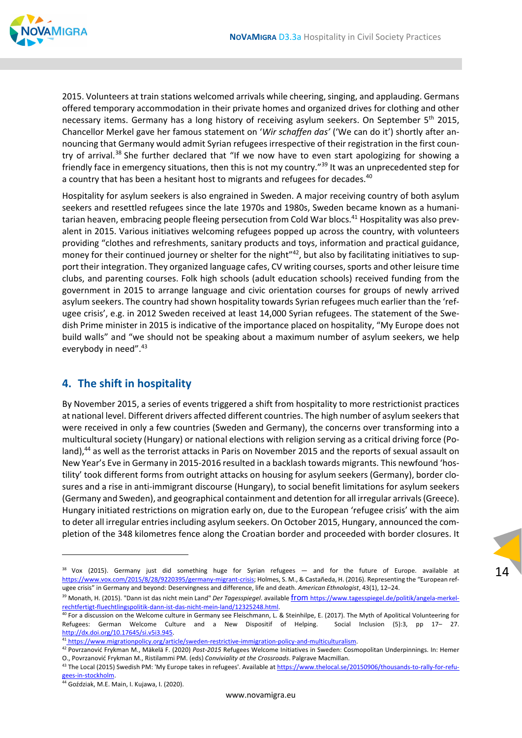

2015. Volunteers at train stations welcomed arrivals while cheering, singing, and applauding. Germans offered temporary accommodation in their private homes and organized drives for clothing and other necessary items. Germany has a long history of receiving asylum seekers. On September 5<sup>th</sup> 2015, Chancellor Merkel gave her famous statement on '*Wir schaffen das'* ('We can do it') shortly after an‐ nouncing that Germany would admit Syrian refugees irrespective of their registration in the first coun‐ try of arrival.<sup>38</sup> She further declared that "If we now have to even start apologizing for showing a friendly face in emergency situations, then this is not my country."39 It was an unprecedented step for a country that has been a hesitant host to migrants and refugees for decades.<sup>40</sup>

Hospitality for asylum seekers is also engrained in Sweden. A major receiving country of both asylum seekers and resettled refugees since the late 1970s and 1980s, Sweden became known as a humani‐ tarian heaven, embracing people fleeing persecution from Cold War blocs.<sup>41</sup> Hospitality was also prevalent in 2015. Various initiatives welcoming refugees popped up across the country, with volunteers providing "clothes and refreshments, sanitary products and toys, information and practical guidance, money for their continued journey or shelter for the night"<sup>42</sup>, but also by facilitating initiatives to support their integration. They organized language cafes, CV writing courses, sports and other leisure time clubs, and parenting courses. Folk high schools (adult education schools) received funding from the government in 2015 to arrange language and civic orientation courses for groups of newly arrived asylum seekers. The country had shown hospitality towards Syrian refugees much earlier than the 'refugee crisis', e.g. in 2012 Sweden received at least 14,000 Syrian refugees. The statement of the Swedish Prime minister in 2015 is indicative of the importance placed on hospitality, "My Europe does not build walls" and "we should not be speaking about a maximum number of asylum seekers, we help everybody in need".<sup>43</sup>

# **4. The shift in hospitality**

By November 2015, a series of events triggered a shift from hospitality to more restrictionist practices at national level. Different drivers affected different countries. The high number of asylum seekersthat were received in only a few countries (Sweden and Germany), the concerns over transforming into a multicultural society (Hungary) or national elections with religion serving as a critical driving force (Po‐ land),<sup>44</sup> as well as the terrorist attacks in Paris on November 2015 and the reports of sexual assault on New Year's Eve in Germany in 2015‐2016 resulted in a backlash towards migrants. Τhis newfound 'hos‐ tility' took different forms from outright attacks on housing for asylum seekers (Germany), border clo‐ sures and a rise in anti‐immigrant discourse (Hungary), to social benefit limitations for asylum seekers (Germany and Sweden), and geographical containment and detention for all irregular arrivals(Greece). Hungary initiated restrictions on migration early on, due to the European 'refugee crisis' with the aim to deter all irregular entries including asylum seekers. On October 2015, Hungary, announced the completion of the 348 kilometres fence along the Croatian border and proceeded with border closures. It

<sup>&</sup>lt;sup>38</sup> Vox (2015). Germany just did something huge for Syrian refugees — and for the future of Europe. available at https://www.vox.com/2015/8/28/9220395/germany-migrant-crisis; Holmes, S. M., & Castañeda, H. (2016). Representing the "European refugee crisis" in Germany and beyond: Deservingness and difference, life and death. *American Ethnologist*, 43(1), 12–24.

<sup>39</sup> Monath, H. (2015). "Dann ist das nicht mein Land" *Der Tagesspiegel*. available from https://www.tagesspiegel.de/politik/angela‐merkel‐ rechtfertigt‐fluechtlingspolitik‐dann‐ist‐das‐nicht‐mein‐land/12325248.html.

<sup>&</sup>lt;sup>40</sup> For a discussion on the Welcome culture in Germany see Fleischmann, L. & Steinhilpe, E. (2017). The Myth of Apolitical Volunteering for Refugees: German Welcome Culture and a New Dispositif of Helping. Social Inclusion (5):3, pp 17- 27. http://dx.doi.org/10.17645/si.v5i3.945.

<sup>41</sup> https://www.migrationpolicy.org/article/sweden-restrictive-immigration-policy-and-multiculturalism.

<sup>42</sup> Povrzanović Frykman M., Mäkelä F. (2020) *Post‐2015* Refugees Welcome Initiatives in Sweden: Cosmopolitan Underpinnings. In: Hemer O., Povrzanović Frykman M., Ristilammi PM. (eds) *Conviviality at the Crossroads*. Palgrave Macmillan.

<sup>43</sup> The Local (2015) Swedish PM: 'My Europe takes in refugees'. Available at https://www.thelocal.se/20150906/thousands-to-rally-for-refugees‐in‐stockholm.

<sup>44</sup> Goździak, M.E. Main, I. Kujawa, I. (2020).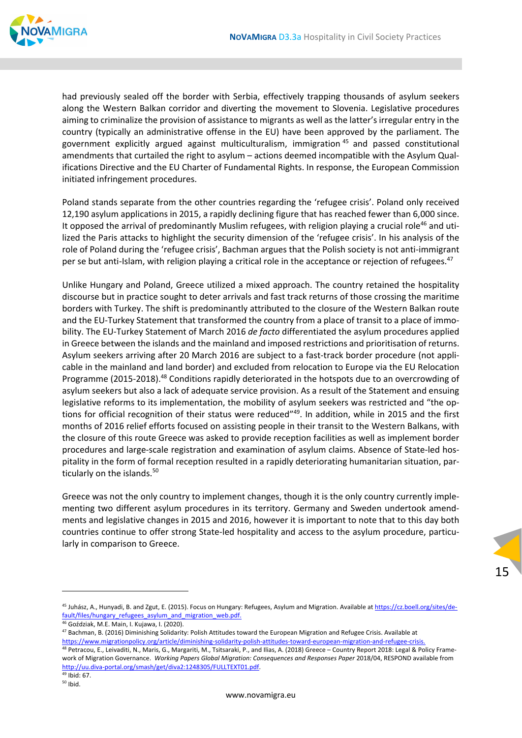

had previously sealed off the border with Serbia, effectively trapping thousands of asylum seekers along the Western Balkan corridor and diverting the movement to Slovenia. Legislative procedures aiming to criminalize the provision of assistance to migrants as well as the latter's irregular entry in the country (typically an administrative offense in the EU) have been approved by the parliament. The government explicitly argued against multiculturalism, immigration <sup>45</sup> and passed constitutional amendments that curtailed the right to asylum – actions deemed incompatible with the Asylum Qualifications Directive and the EU Charter of Fundamental Rights. In response, the European Commission initiated infringement procedures.

Poland stands separate from the other countries regarding the 'refugee crisis'. Poland only received 12,190 asylum applications in 2015, a rapidly declining figure that has reached fewer than 6,000 since. It opposed the arrival of predominantly Muslim refugees, with religion playing a crucial role<sup>46</sup> and utilized the Paris attacks to highlight the security dimension of the 'refugee crisis'. In his analysis of the role of Poland during the 'refugee crisis', Bachman argues that the Polish society is not anti‐immigrant per se but anti-Islam, with religion playing a critical role in the acceptance or rejection of refugees.<sup>47</sup>

Unlike Hungary and Poland, Greece utilized a mixed approach. The country retained the hospitality discourse but in practice sought to deter arrivals and fast track returns of those crossing the maritime borders with Turkey. The shift is predominantly attributed to the closure of the Western Balkan route and the EU-Turkey Statement that transformed the country from a place of transit to a place of immobility. The EU‐Turkey Statement of March 2016 *de facto* differentiated the asylum procedures applied in Greece between the islands and the mainland and imposed restrictions and prioritisation of returns. Asylum seekers arriving after 20 March 2016 are subject to a fast-track border procedure (not applicable in the mainland and land border) and excluded from relocation to Europe via the EU Relocation Programme (2015-2018).<sup>48</sup> Conditions rapidly deteriorated in the hotspots due to an overcrowding of asylum seekers but also a lack of adequate service provision. As a result of the Statement and ensuing legislative reforms to its implementation, the mobility of asylum seekers was restricted and "the op‐ tions for official recognition of their status were reduced"49. In addition, while in 2015 and the first months of 2016 relief efforts focused on assisting people in their transit to the Western Balkans, with the closure of this route Greece was asked to provide reception facilities as well as implement border procedures and large‐scale registration and examination of asylum claims. Absence of State‐led hos‐ pitality in the form of formal reception resulted in a rapidly deteriorating humanitarian situation, particularly on the islands.<sup>50</sup>

Greece was not the only country to implement changes, though it is the only country currently imple‐ menting two different asylum procedures in its territory. Germany and Sweden undertook amend‐ ments and legislative changes in 2015 and 2016, however it is important to note that to this day both countries continue to offer strong State-led hospitality and access to the asylum procedure, particularly in comparison to Greece.

<sup>46</sup> Goździak, M.E. Main, I. Kujawa, I. (2020).

<sup>&</sup>lt;sup>45</sup> Juhász, A., Hunyadi, B. and Zgut, E. (2015). Focus on Hungary: Refugees, Asylum and Migration. Available at https://cz.boell.org/sites/default/files/hungary\_refugees\_asylum\_and\_migration\_web.pdf.

<sup>47</sup> Bachman, B. (2016) Diminishing Solidarity: Polish Attitudes toward the European Migration and Refugee Crisis. Available at https://www.migrationpolicy.org/article/diminishing-solidarity-polish-attitudes-toward-european-migration-and-refugee-crisis

<sup>48</sup> Petracou, E., Leivaditi, N., Maris, G., Margariti, M., Tsitsaraki, P., and Ilias, A. (2018) Greece – Country Report 2018: Legal & Policy Frame‐ work of Migration Governance. *Working Papers Global Migration: Consequences and Responses Paper* 2018/04, RESPOND available from http://uu.diva‐portal.org/smash/get/diva2:1248305/FULLTEXT01.pdf. <sup>49</sup> Ibid: 67.

 $50$  Ibid.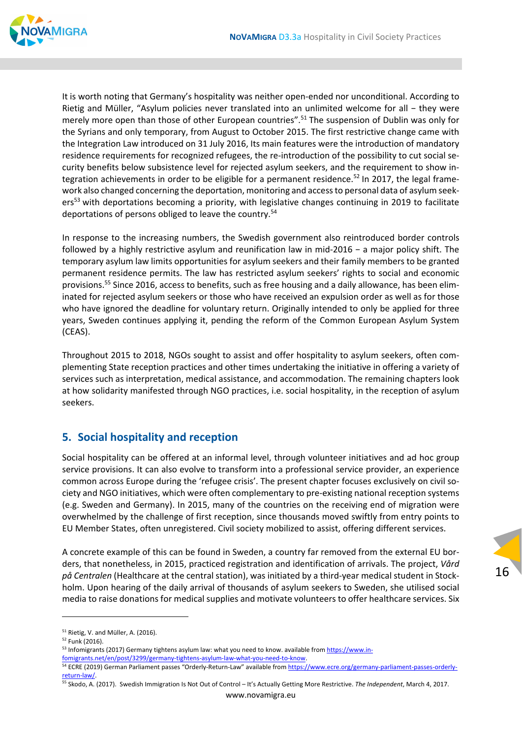

It is worth noting that Germany's hospitality was neither open-ended nor unconditional. According to Rietig and Müller, "Asylum policies never translated into an unlimited welcome for all - they were merely more open than those of other European countries".<sup>51</sup> The suspension of Dublin was only for the Syrians and only temporary, from August to October 2015. The first restrictive change came with the Integration Law introduced on 31 July 2016, Its main features were the introduction of mandatory residence requirements for recognized refugees, the re-introduction of the possibility to cut social security benefits below subsistence level for rejected asylum seekers, and the requirement to show in‐ tegration achievements in order to be eligible for a permanent residence.<sup>52</sup> In 2017, the legal framework also changed concerning the deportation, monitoring and access to personal data of asylum seekers<sup>53</sup> with deportations becoming a priority, with legislative changes continuing in 2019 to facilitate deportations of persons obliged to leave the country.54

In response to the increasing numbers, the Swedish government also reintroduced border controls followed by a highly restrictive asylum and reunification law in mid‐2016 − a major policy shift. The temporary asylum law limits opportunities for asylum seekers and their family members to be granted permanent residence permits. The law has restricted asylum seekers' rights to social and economic provisions.55 Since 2016, access to benefits, such as free housing and a daily allowance, has been elim‐ inated for rejected asylum seekers or those who have received an expulsion order as well as for those who have ignored the deadline for voluntary return. Originally intended to only be applied for three years, Sweden continues applying it, pending the reform of the Common European Asylum System (CEAS).

Throughout 2015 to 2018, NGOs sought to assist and offer hospitality to asylum seekers, often com‐ plementing State reception practices and other times undertaking the initiative in offering a variety of services such as interpretation, medical assistance, and accommodation. The remaining chapters look at how solidarity manifested through NGO practices, i.e. social hospitality, in the reception of asylum seekers.

#### **5. Social hospitality and reception**

Social hospitality can be offered at an informal level, through volunteer initiatives and ad hoc group service provisions. It can also evolve to transform into a professional service provider, an experience common across Europe during the 'refugee crisis'. The present chapter focuses exclusively on civil so‐ ciety and NGO initiatives, which were often complementary to pre‐existing national reception systems (e.g. Sweden and Germany). In 2015, many of the countries on the receiving end of migration were overwhelmed by the challenge of first reception, since thousands moved swiftly from entry points to EU Member States, often unregistered. Civil society mobilized to assist, offering different services.

A concrete example of this can be found in Sweden, a country far removed from the external EU bor‐ ders, that nonetheless, in 2015, practiced registration and identification of arrivals. The project, *Vård på Centralen* (Healthcare at the central station), was initiated by a third‐year medical student in Stock‐ holm. Upon hearing of the daily arrival of thousands of asylum seekers to Sweden, she utilised social media to raise donations for medical supplies and motivate volunteers to offer healthcare services. Six

fomigrants.net/en/post/3299/germany‐tightens‐asylum‐law‐what‐you‐need‐to‐know.

<sup>51</sup> Rietig, V. and Müller, A. (2016).

<sup>52</sup> Funk (2016).

<sup>53</sup> Infomigrants (2017) Germany tightens asylum law: what you need to know, available from https://www.in-

<sup>54</sup> ECRE (2019) German Parliament passes "Orderly-Return-Law" available from https://www.ecre.org/germany-parliament-passes-orderlyreturn‐law/.

<sup>55</sup> Skodo, A. (2017). Swedish Immigration Is Not Out of Control – It's Actually Getting More Restrictive. *The Independent*, March 4, 2017.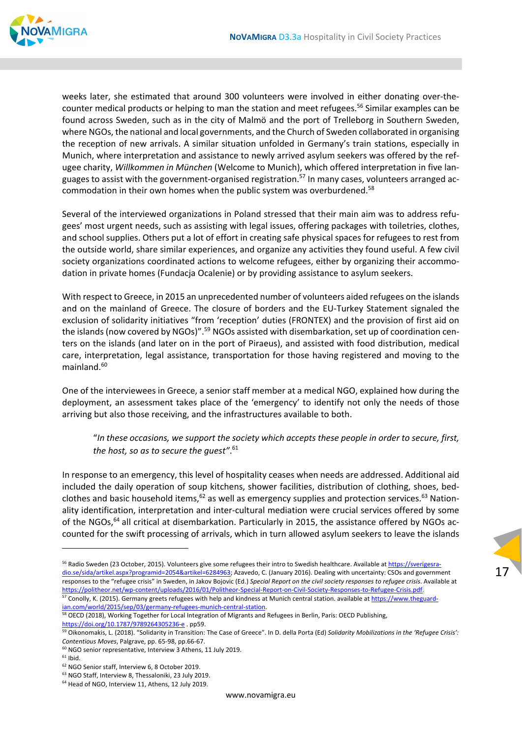

weeks later, she estimated that around 300 volunteers were involved in either donating over-thecounter medical products or helping to man the station and meet refugees.<sup>56</sup> Similar examples can be found across Sweden, such as in the city of Malmö and the port of Trelleborg in Southern Sweden, where NGOs, the national and local governments, and the Church of Sweden collaborated in organising the reception of new arrivals. A similar situation unfolded in Germany's train stations, especially in Munich, where interpretation and assistance to newly arrived asylum seekers was offered by the ref‐ ugee charity, *Willkommen in München* (Welcome to Munich), which offered interpretation in five lan‐ guages to assist with the government-organised registration.<sup>57</sup> In many cases, volunteers arranged accommodation in their own homes when the public system was overburdened.<sup>58</sup>

Several of the interviewed organizations in Poland stressed that their main aim was to address refu‐ gees' most urgent needs, such as assisting with legal issues, offering packages with toiletries, clothes, and school supplies. Others put a lot of effort in creating safe physical spaces for refugees to rest from the outside world, share similar experiences, and organize any activities they found useful. A few civil society organizations coordinated actions to welcome refugees, either by organizing their accommodation in private homes (Fundacja Ocalenie) or by providing assistance to asylum seekers.

With respect to Greece, in 2015 an unprecedented number of volunteers aided refugees on the islands and on the mainland of Greece. The closure of borders and the EU-Turkey Statement signaled the exclusion of solidarity initiatives "from 'reception' duties (FRONTEX) and the provision of first aid on the islands (now covered by NGOs)".<sup>59</sup> NGOs assisted with disembarkation, set up of coordination centers on the islands (and later on in the port of Piraeus), and assisted with food distribution, medical care, interpretation, legal assistance, transportation for those having registered and moving to the mainland. $60$ 

One of the interviewees in Greece, a senior staff member at a medical NGO, explained how during the deployment, an assessment takes place of the 'emergency' to identify not only the needs of those arriving but also those receiving, and the infrastructures available to both.

"*In these occasions, we support the society which accepts these people in order to secure, first, the host, so as to secure the guest"*. 61

In response to an emergency, this level of hospitality ceases when needs are addressed. Additional aid included the daily operation of soup kitchens, shower facilities, distribution of clothing, shoes, bed‐ clothes and basic household items, $62$  as well as emergency supplies and protection services. $63$  Nationality identification, interpretation and inter‐cultural mediation were crucial services offered by some of the NGOs,<sup>64</sup> all critical at disembarkation. Particularly in 2015, the assistance offered by NGOs accounted for the swift processing of arrivals, which in turn allowed asylum seekers to leave the islands

17

57 Conolly, K. (2015). Germany greets refugees with help and kindness at Munich central station. available at https://www.theguardian.com/world/2015/sep/03/germany-refugees-munich-central-station.

<sup>56</sup> Radio Sweden (23 October, 2015). Volunteers give some refugees their intro to Swedish healthcare. Available at https://sverigesradio.se/sida/artikel.aspx?programid=2054&artikel=6284963; Azavedo, C. (January 2016). Dealing with uncertainty: CSOs and government responses to the "refugee crisis" in Sweden, in Jakov Bojovic (Ed.) *Special Report on the civil society responses to refugee crisis*. Available at https://politheor.net/wp‐content/uploads/2016/01/Politheor‐Special‐Report‐on‐Civil‐Society‐Responses‐to‐Refugee‐Crisis.pdf.

<sup>&</sup>lt;sup>58</sup> OECD (2018), Working Together for Local Integration of Migrants and Refugees in Berlin, Paris: OECD Publishing, https://doi.org/10.1787/9789264305236‐e . pp59.

<sup>59</sup> Oikonomakis, L. (2018). "Solidarity in Transition: The Case of Greece". In D. della Porta (Ed) *Solidarity Mobilizations in the 'Refugee Crisis': Contentious Moves*, Palgrave, pp. 65‐98, pp.66‐67.

<sup>60</sup> NGO senior representative, Interview 3 Athens, 11 July 2019.

 $61$  Ibid.

<sup>62</sup> NGO Senior staff, Interview 6, 8 October 2019.

<sup>63</sup> NGO Staff, Interview 8, Thessaloniki, 23 July 2019.

<sup>&</sup>lt;sup>64</sup> Head of NGO, Interview 11, Athens, 12 July 2019.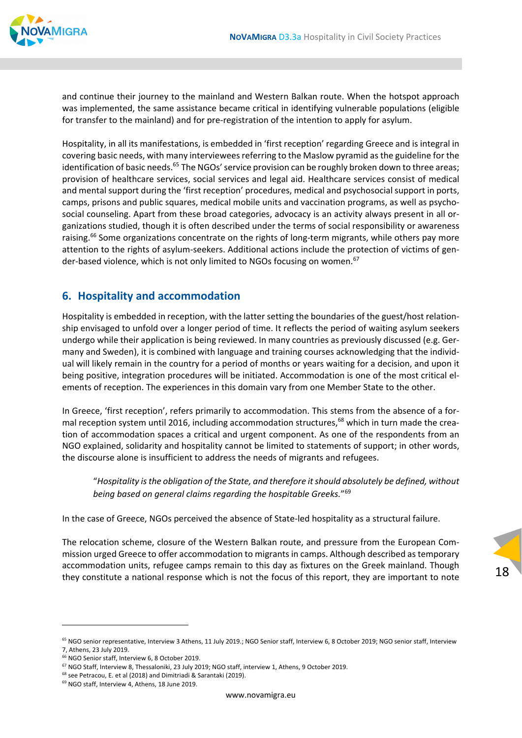

and continue their journey to the mainland and Western Balkan route. When the hotspot approach was implemented, the same assistance became critical in identifying vulnerable populations (eligible for transfer to the mainland) and for pre-registration of the intention to apply for asylum.

Hospitality, in all its manifestations, is embedded in 'first reception' regarding Greece and is integral in covering basic needs, with many interviewees referring to the Maslow pyramid as the guideline for the identification of basic needs.<sup>65</sup> The NGOs' service provision can be roughly broken down to three areas; provision of healthcare services, social services and legal aid. Healthcare services consist of medical and mental support during the 'first reception' procedures, medical and psychosocial support in ports, camps, prisons and public squares, medical mobile units and vaccination programs, as well as psychosocial counseling. Apart from these broad categories, advocacy is an activity always present in all or‐ ganizations studied, though it is often described under the terms of social responsibility or awareness raising.<sup>66</sup> Some organizations concentrate on the rights of long-term migrants, while others pay more attention to the rights of asylum-seekers. Additional actions include the protection of victims of gender-based violence, which is not only limited to NGOs focusing on women.<sup>67</sup>

#### **6. Hospitality and accommodation**

Hospitality is embedded in reception, with the latter setting the boundaries of the guest/host relation‐ ship envisaged to unfold over a longer period of time. It reflects the period of waiting asylum seekers undergo while their application is being reviewed. In many countries as previously discussed (e.g. Ger‐ many and Sweden), it is combined with language and training courses acknowledging that the individual will likely remain in the country for a period of months or years waiting for a decision, and upon it being positive, integration procedures will be initiated. Accommodation is one of the most critical elements of reception. The experiences in this domain vary from one Member State to the other.

In Greece, 'first reception', refers primarily to accommodation. This stems from the absence of a formal reception system until 2016, including accommodation structures,<sup>68</sup> which in turn made the creation of accommodation spaces a critical and urgent component. As one of the respondents from an NGO explained, solidarity and hospitality cannot be limited to statements of support; in other words, the discourse alone is insufficient to address the needs of migrants and refugees.

"*Hospitality isthe obligation of the State, and therefore itshould absolutely be defined, without being based on general claims regarding the hospitable Greeks.*"69

In the case of Greece, NGOs perceived the absence of State‐led hospitality as a structural failure.

The relocation scheme, closure of the Western Balkan route, and pressure from the European Com‐ mission urged Greece to offer accommodation to migrantsin camps. Although described astemporary accommodation units, refugee camps remain to this day as fixtures on the Greek mainland. Though they constitute a national response which is not the focus of this report, they are important to note

<sup>65</sup> NGO senior representative, Interview 3 Athens, 11 July 2019.; NGO Senior staff, Interview 6, 8 October 2019; NGO senior staff, Interview 7, Athens, 23 July 2019.

 $66$  NGO Senior staff, Interview 6, 8 October 2019.

<sup>67</sup> NGO Staff, Interview 8, Thessaloniki, 23 July 2019; NGO staff, interview 1, Athens, 9 October 2019.

<sup>&</sup>lt;sup>68</sup> see Petracou, E. et al (2018) and Dimitriadi & Sarantaki (2019).

<sup>69</sup> NGO staff, Interview 4, Athens, 18 June 2019.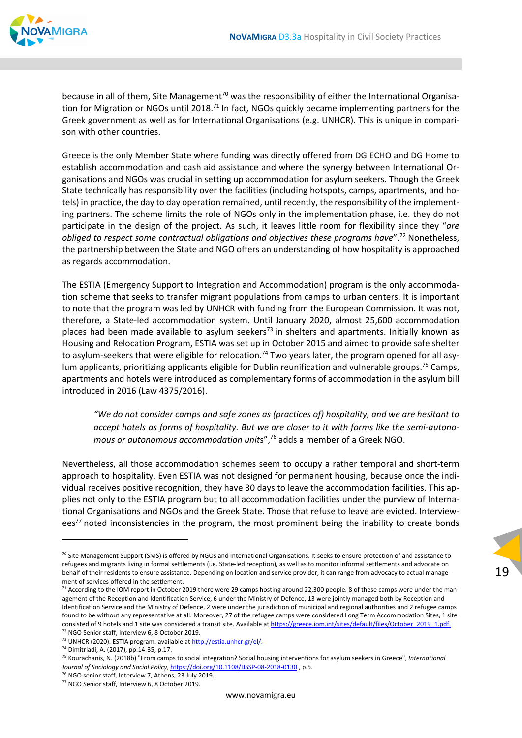

because in all of them, Site Management<sup>70</sup> was the responsibility of either the International Organisation for Migration or NGOs until 2018.<sup>71</sup> In fact, NGOs quickly became implementing partners for the Greek government as well as for International Organisations (e.g. UNHCR). This is unique in compari‐ son with other countries.

Greece is the only Member State where funding was directly offered from DG ECHO and DG Home to establish accommodation and cash aid assistance and where the synergy between International Or‐ ganisations and NGOs was crucial in setting up accommodation for asylum seekers. Though the Greek State technically has responsibility over the facilities (including hotspots, camps, apartments, and ho‐ tels) in practice, the day to day operation remained, until recently, the responsibility of the implementing partners. The scheme limits the role of NGOs only in the implementation phase, i.e. they do not participate in the design of the project. As such, it leaves little room for flexibility since they "*are obliged to respect some contractual obligations and objectives these programs have*".72 Nonetheless, the partnership between the State and NGO offers an understanding of how hospitality is approached as regards accommodation.

The ESTIA (Emergency Support to Integration and Accommodation) program is the only accommoda‐ tion scheme that seeks to transfer migrant populations from camps to urban centers. It is important to note that the program was led by UNHCR with funding from the European Commission. It was not, therefore, a State‐led accommodation system. Until January 2020, almost 25,600 accommodation places had been made available to asylum seekers<sup>73</sup> in shelters and apartments. Initially known as Housing and Relocation Program, ESTIA was set up in October 2015 and aimed to provide safe shelter to asylum-seekers that were eligible for relocation.<sup>74</sup> Two years later, the program opened for all asylum applicants, prioritizing applicants eligible for Dublin reunification and vulnerable groups.<sup>75</sup> Camps, apartments and hotels were introduced as complementary forms of accommodation in the asylum bill introduced in 2016 (Law 4375/2016).

*"We do not consider camps and safe zones as (practices of) hospitality, and we are hesitant to* accept hotels as forms of hospitality. But we are closer to it with forms like the semi-autono*mous or autonomous accommodation unit*s",76 adds a member of a Greek NGO.

Nevertheless, all those accommodation schemes seem to occupy a rather temporal and short‐term approach to hospitality. Even ESTIA was not designed for permanent housing, because once the individual receives positive recognition, they have 30 days to leave the accommodation facilities. This ap‐ plies not only to the ESTIA program but to all accommodation facilities under the purview of International Organisations and NGOs and the Greek State. Those that refuse to leave are evicted. Interviewees<sup>77</sup> noted inconsistencies in the program, the most prominent being the inability to create bonds

 $70$  Site Management Support (SMS) is offered by NGOs and International Organisations. It seeks to ensure protection of and assistance to refugees and migrants living in formal settlements (i.e. State-led reception), as well as to monitor informal settlements and advocate on behalf of their residents to ensure assistance. Depending on location and service provider, it can range from advocacy to actual management of services offered in the settlement.

 $71$  According to the IOM report in October 2019 there were 29 camps hosting around 22,300 people. 8 of these camps were under the management of the Reception and Identification Service, 6 under the Ministry of Defence, 13 were jointly managed both by Reception and Identification Service and the Ministry of Defence, 2 were under the jurisdiction of municipal and regional authorities and 2 refugee camps found to be without any representative at all. Moreover, 27 of the refugee camps were considered Long Term Accommodation Sites, 1 site consisted of 9 hotels and 1 site was considered a transit site. Available at https://greece.iom.int/sites/default/files/October\_2019\_1.pdf. <sup>72</sup> NGO Senior staff, Interview 6, 8 October 2019.

<sup>73</sup> UNHCR (2020). ESTIA program. available at http://estia.unhcr.gr/el/.

<sup>74</sup> Dimitriadi, A. (2017), pp.14‐35, p.17.

<sup>75</sup> Kourachanis, Ν. (2018b) "From camps to social integration? Social housing interventions for asylum seekers in Greece", *International Journal of Sociology and Social Policy*, https://doi.org/10.1108/IJSSP‐08‐2018‐0130 , p.5.

<sup>&</sup>lt;sup>76</sup> NGO senior staff, Interview 7, Athens, 23 July 2019.

<sup>77</sup> NGO Senior staff, Interview 6, 8 October 2019.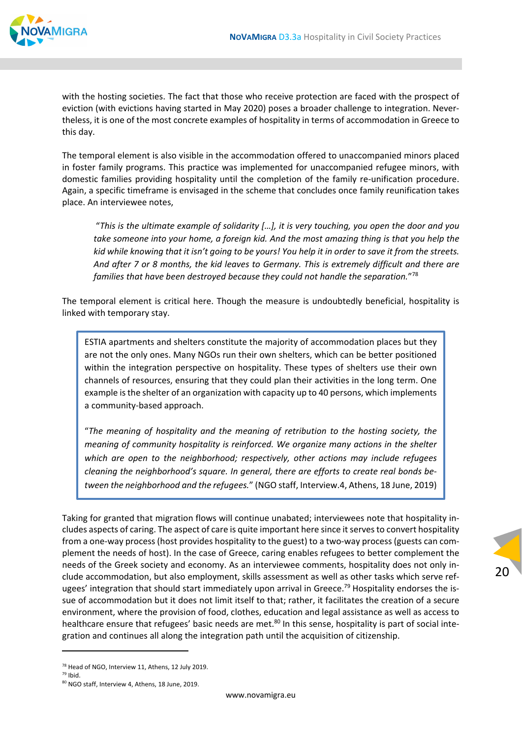

with the hosting societies. The fact that those who receive protection are faced with the prospect of eviction (with evictions having started in May 2020) poses a broader challenge to integration. Never‐ theless, it is one of the most concrete examples of hospitality in terms of accommodation in Greece to this day.

The temporal element is also visible in the accommodation offered to unaccompanied minors placed in foster family programs. This practice was implemented for unaccompanied refugee minors, with domestic families providing hospitality until the completion of the family re‐unification procedure. Again, a specific timeframe is envisaged in the scheme that concludes once family reunification takes place. An interviewee notes,

"*This is the ultimate example of solidarity […], it is very touching, you open the door and you take someone into your home, a foreign kid. And the most amazing thing is that you help the* kid while knowing that it isn't going to be yours! You help it in order to save it from the streets. *And after 7 or 8 months, the kid leaves to Germany. This is extremely difficult and there are families that have been destroyed because they could not handle the separation.*"78

The temporal element is critical here. Though the measure is undoubtedly beneficial, hospitality is linked with temporary stay.

ESTIA apartments and shelters constitute the majority of accommodation places but they are not the only ones. Many NGOs run their own shelters, which can be better positioned within the integration perspective on hospitality. These types of shelters use their own channels of resources, ensuring that they could plan their activities in the long term. One example isthe shelter of an organization with capacity up to 40 persons, which implements a community‐based approach.

"*The meaning of hospitality and the meaning of retribution to the hosting society, the meaning of community hospitality is reinforced. We organize many actions in the shelter which are open to the neighborhood; respectively, other actions may include refugees cleaning the neighborhood's square. In general, there are efforts to create real bonds be‐ tween the neighborhood and the refugees.*" (NGO staff, Interview.4, Athens, 18 June, 2019)

Taking for granted that migration flows will continue unabated; interviewees note that hospitality in‐ cludes aspects of caring. The aspect of care is quite important here since it serves to convert hospitality from a one-way process (host provides hospitality to the guest) to a two-way process (guests can complement the needs of host). In the case of Greece, caring enables refugees to better complement the needs of the Greek society and economy. As an interviewee comments, hospitality does not only in‐ clude accommodation, but also employment, skills assessment as well as other tasks which serve ref‐ ugees' integration that should start immediately upon arrival in Greece.<sup>79</sup> Hospitality endorses the issue of accommodation but it does not limit itself to that; rather, it facilitates the creation of a secure environment, where the provision of food, clothes, education and legal assistance as well as access to healthcare ensure that refugees' basic needs are met.<sup>80</sup> In this sense, hospitality is part of social integration and continues all along the integration path until the acquisition of citizenship.

<sup>78</sup> Head of NGO, Interview 11, Athens, 12 July 2019.

<sup>79</sup> Ibid.

<sup>80</sup> NGO staff, Interview 4, Athens, 18 June, 2019.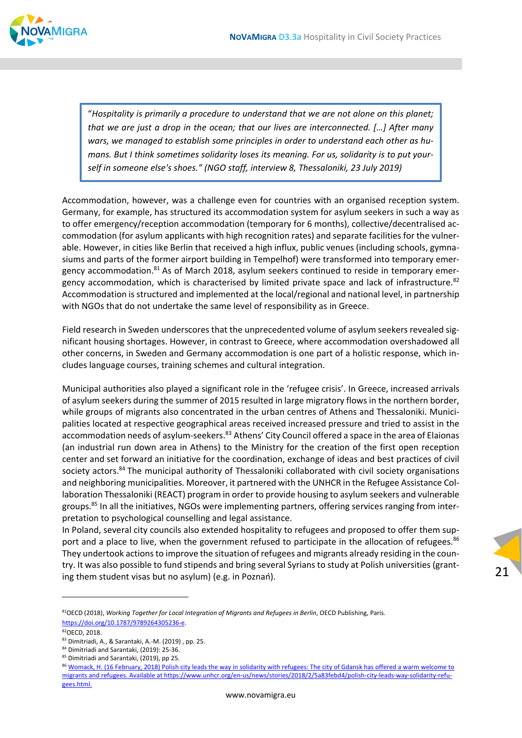

"*Hospitality is primarily a procedure to understand that we are not alone on this planet; that we are just a drop in the ocean; that our lives are interconnected. […] After many wars, we managed to establish some principles in order to understand each other as hu‐ mans. But I think sometimes solidarity loses its meaning. For us, solidarity is to put your‐ self in someone else's shoes." (NGO staff, interview 8, Thessaloniki, 23 July 2019)*

Accommodation, however, was a challenge even for countries with an organised reception system. Germany, for example, has structured its accommodation system for asylum seekers in such a way as to offer emergency/reception accommodation (temporary for 6 months), collective/decentralised ac‐ commodation (for asylum applicants with high recognition rates) and separate facilities for the vulner‐ able. However, in cities like Berlin that received a high influx, public venues (including schools, gymnasiums and parts of the former airport building in Tempelhof) were transformed into temporary emer‐ gency accommodation.<sup>81</sup> As of March 2018, asylum seekers continued to reside in temporary emergency accommodation, which is characterised by limited private space and lack of infrastructure.<sup>82</sup> Accommodation is structured and implemented at the local/regional and national level, in partnership with NGOs that do not undertake the same level of responsibility as in Greece.

Field research in Sweden underscores that the unprecedented volume of asylum seekers revealed significant housing shortages. However, in contrast to Greece, where accommodation overshadowed all other concerns, in Sweden and Germany accommodation is one part of a holistic response, which in‐ cludes language courses, training schemes and cultural integration.

Municipal authorities also played a significant role in the 'refugee crisis'. In Greece, increased arrivals of asylum seekers during the summer of 2015 resulted in large migratory flows in the northern border, while groups of migrants also concentrated in the urban centres of Athens and Thessaloniki. Municipalities located at respective geographical areas received increased pressure and tried to assist in the accommodation needs of asylum-seekers.<sup>83</sup> Athens' City Council offered a space in the area of Elaionas (an industrial run down area in Athens) to the Ministry for the creation of the first open reception center and set forward an initiative for the coordination, exchange of ideas and best practices of civil society actors.<sup>84</sup> The municipal authority of Thessaloniki collaborated with civil society organisations and neighboring municipalities. Moreover, it partnered with the UNHCR in the Refugee Assistance Collaboration Thessaloniki (REACT) program in order to provide housing to asylum seekers and vulnerable groups.<sup>85</sup> In all the initiatives, NGOs were implementing partners, offering services ranging from interpretation to psychological counselling and legal assistance.

In Poland, several city councils also extended hospitality to refugees and proposed to offer them sup‐ port and a place to live, when the government refused to participate in the allocation of refugees.<sup>86</sup> They undertook actions to improve the situation of refugees and migrants already residing in the country. It was also possible to fund stipends and bring several Syrians to study at Polish universities (grant‐ ing them student visas but no asylum) (e.g. in Poznań).

<sup>81</sup>OECD (2018), *Working Together for Local Integration of Migrants and Refugees in Berlin*, OECD Publishing, Paris. https://doi.org/10.1787/9789264305236‐e.

<sup>82</sup>OECD, 2018.

<sup>83</sup> Dimitriadi, A., & Sarantaki, A.-M. (2019), pp. 25.

<sup>84</sup> Dimitriadi and Sarantaki, (2019): 25-36.

<sup>85</sup> Dimitriadi and Sarantaki, (2019), pp 25.

<sup>86</sup> Womack, H. (16 February, 2018) Polish city leads the way in solidarity with refugees: The city of Gdansk has offered a warm welcome to migrants and refugees. Available at https://www.unhcr.org/en‐us/news/stories/2018/2/5a83febd4/polish‐city‐leads‐way‐solidarity‐refu‐ gees.html.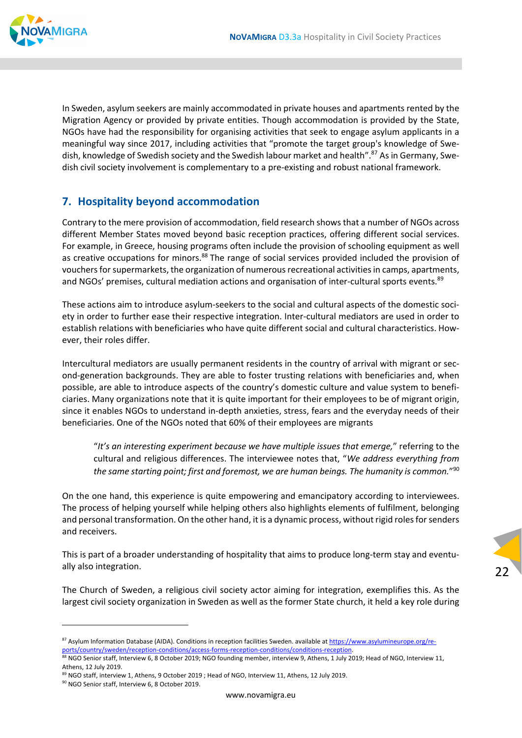

In Sweden, asylum seekers are mainly accommodated in private houses and apartments rented by the Migration Agency or provided by private entities. Though accommodation is provided by the State, NGOs have had the responsibility for organising activities that seek to engage asylum applicants in a meaningful way since 2017, including activities that "promote the target group's knowledge of Swe‐ dish, knowledge of Swedish society and the Swedish labour market and health".<sup>87</sup> As in Germany, Swedish civil society involvement is complementary to a pre‐existing and robust national framework.

# **7. Hospitality beyond accommodation**

Contrary to the mere provision of accommodation, field research showsthat a number of NGOs across different Member States moved beyond basic reception practices, offering different social services. For example, in Greece, housing programs often include the provision of schooling equipment as well as creative occupations for minors.<sup>88</sup> The range of social services provided included the provision of vouchers for supermarkets, the organization of numerous recreational activities in camps, apartments, and NGOs' premises, cultural mediation actions and organisation of inter-cultural sports events.<sup>89</sup>

These actions aim to introduce asylum‐seekers to the social and cultural aspects of the domestic soci‐ ety in order to further ease their respective integration. Inter‐cultural mediators are used in order to establish relations with beneficiaries who have quite different social and cultural characteristics. However, their roles differ.

Intercultural mediators are usually permanent residents in the country of arrival with migrant or sec‐ ond‐generation backgrounds. They are able to foster trusting relations with beneficiaries and, when possible, are able to introduce aspects of the country's domestic culture and value system to beneficiaries. Many organizations note that it is quite important for their employees to be of migrant origin, since it enables NGOs to understand in-depth anxieties, stress, fears and the everyday needs of their beneficiaries. One of the NGOs noted that 60% of their employees are migrants

"*It's an interesting experiment because we have multiple issues that emerge,*" referring to the cultural and religious differences. The interviewee notes that, "*We address everything from the same starting point; first and foremost, we are human beings. The humanity is common.*"90

On the one hand, this experience is quite empowering and emancipatory according to interviewees. The process of helping yourself while helping others also highlights elements of fulfilment, belonging and personal transformation. On the other hand, it is a dynamic process, without rigid roles for senders and receivers.

This is part of a broader understanding of hospitality that aims to produce long-term stay and eventually also integration.

22

The Church of Sweden, a religious civil society actor aiming for integration, exemplifies this. As the largest civil society organization in Sweden as well as the former State church, it held a key role during

<sup>87</sup> Asylum Information Database (AIDA). Conditions in reception facilities Sweden. available at https://www.asylumineurope.org/reports/country/sweden/reception‐conditions/access‐forms‐reception‐conditions/conditions‐reception.

<sup>88</sup> NGO Senior staff, Interview 6, 8 October 2019; NGO founding member, interview 9, Athens, 1 July 2019; Head of NGO, Interview 11, Athens, 12 July 2019.

<sup>89</sup> NGO staff, interview 1, Athens, 9 October 2019 ; Head of NGO, Interview 11, Athens, 12 July 2019.

<sup>90</sup> NGO Senior staff, Interview 6, 8 October 2019.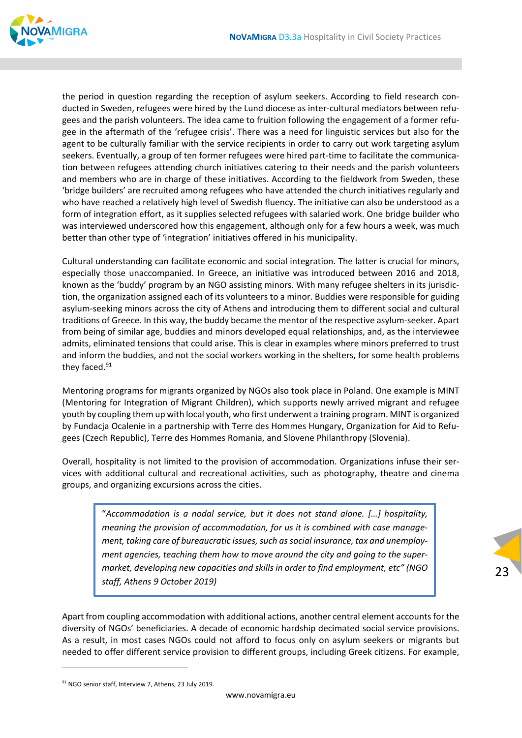

the period in question regarding the reception of asylum seekers. According to field research conducted in Sweden, refugees were hired by the Lund diocese as inter-cultural mediators between refugees and the parish volunteers. The idea came to fruition following the engagement of a former refu‐ gee in the aftermath of the 'refugee crisis'. There was a need for linguistic services but also for the agent to be culturally familiar with the service recipients in order to carry out work targeting asylum seekers. Eventually, a group of ten former refugees were hired part-time to facilitate the communication between refugees attending church initiatives catering to their needs and the parish volunteers and members who are in charge of these initiatives. According to the fieldwork from Sweden, these 'bridge builders' are recruited among refugees who have attended the church initiatives regularly and who have reached a relatively high level of Swedish fluency. The initiative can also be understood as a form of integration effort, as it supplies selected refugees with salaried work. One bridge builder who was interviewed underscored how this engagement, although only for a few hours a week, was much better than other type of 'integration' initiatives offered in his municipality.

Cultural understanding can facilitate economic and social integration. The latter is crucial for minors, especially those unaccompanied. In Greece, an initiative was introduced between 2016 and 2018, known as the 'buddy' program by an NGO assisting minors. With many refugee shelters in its jurisdiction, the organization assigned each of its volunteers to a minor. Buddies were responsible for guiding asylum‐seeking minors across the city of Athens and introducing them to different social and cultural traditions of Greece. In this way, the buddy became the mentor of the respective asylum‐seeker. Apart from being of similar age, buddies and minors developed equal relationships, and, as the interviewee admits, eliminated tensions that could arise. This is clear in examples where minors preferred to trust and inform the buddies, and not the social workers working in the shelters, for some health problems they faced.<sup>91</sup>

Mentoring programs for migrants organized by NGOs also took place in Poland. One example is MINT (Mentoring for Integration of Migrant Children), which supports newly arrived migrant and refugee youth by coupling them up with local youth, who first underwent a training program. MINT is organized by Fundacja Ocalenie in a partnership with Terre des Hommes Hungary, Organization for Aid to Refu‐ gees (Czech Republic), Terre des Hommes Romania, and Slovene Philanthropy (Slovenia).

Overall, hospitality is not limited to the provision of accommodation. Organizations infuse their ser‐ vices with additional cultural and recreational activities, such as photography, theatre and cinema groups, and organizing excursions across the cities.

"*Accommodation is a nodal service, but it does not stand alone. […] hospitality, meaning the provision of accommodation, for us it is combined with case manage‐ ment, taking care of bureaucratic issues, such as social insurance, tax and unemployment agencies, teaching them how to move around the city and going to the super‐ market, developing new capacities and skills in order to find employment, etc" (NGO staff, Athens 9 October 2019)*

Apart from coupling accommodation with additional actions, another central element accounts for the diversity of NGOs' beneficiaries. A decade of economic hardship decimated social service provisions. As a result, in most cases NGOs could not afford to focus only on asylum seekers or migrants but needed to offer different service provision to different groups, including Greek citizens. For example,

<sup>91</sup> NGO senior staff, Interview 7, Athens, 23 July 2019.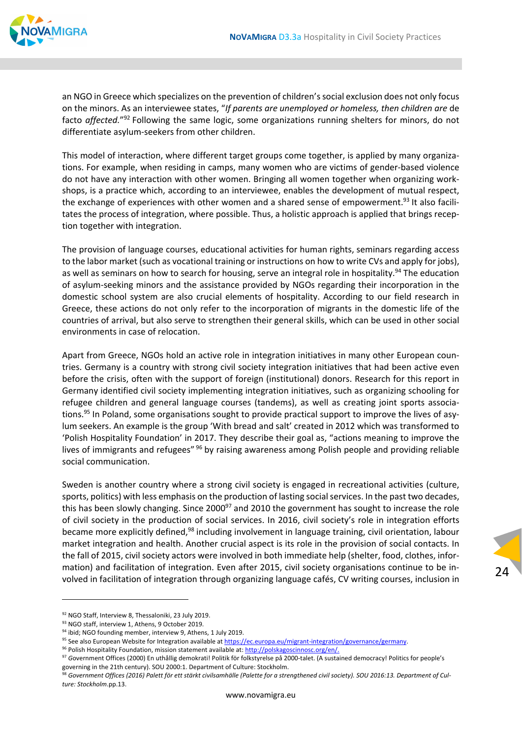

an NGO in Greece which specializes on the prevention of children'ssocial exclusion does not only focus on the minors. As an interviewee states, "*If parents are unemployed or homeless, then children are* de facto *affected.*"92 Following the same logic, some organizations running shelters for minors, do not differentiate asylum‐seekers from other children.

This model of interaction, where different target groups come together, is applied by many organiza‐ tions. For example, when residing in camps, many women who are victims of gender‐based violence do not have any interaction with other women. Bringing all women together when organizing work‐ shops, is a practice which, according to an interviewee, enables the development of mutual respect, the exchange of experiences with other women and a shared sense of empowerment.<sup>93</sup> It also facilitates the process of integration, where possible. Thus, a holistic approach is applied that brings recep‐ tion together with integration.

The provision of language courses, educational activities for human rights, seminars regarding access to the labor market (such as vocational training or instructions on how to write CVs and apply for jobs), as well as seminars on how to search for housing, serve an integral role in hospitality.<sup>94</sup> The education of asylum‐seeking minors and the assistance provided by NGOs regarding their incorporation in the domestic school system are also crucial elements of hospitality. According to our field research in Greece, these actions do not only refer to the incorporation of migrants in the domestic life of the countries of arrival, but also serve to strengthen their general skills, which can be used in other social environments in case of relocation.

Apart from Greece, NGOs hold an active role in integration initiatives in many other European coun‐ tries. Germany is a country with strong civil society integration initiatives that had been active even before the crisis, often with the support of foreign (institutional) donors. Research for this report in Germany identified civil society implementing integration initiatives, such as organizing schooling for refugee children and general language courses (tandems), as well as creating joint sports associa‐ tions.<sup>95</sup> In Poland, some organisations sought to provide practical support to improve the lives of asylum seekers. An example is the group 'With bread and salt' created in 2012 which was transformed to 'Polish Hospitality Foundation' in 2017. They describe their goal as, "actions meaning to improve the lives of immigrants and refugees" <sup>96</sup> by raising awareness among Polish people and providing reliable social communication.

Sweden is another country where a strong civil society is engaged in recreational activities (culture, sports, politics) with less emphasis on the production of lasting social services. In the past two decades, this has been slowly changing. Since 2000<sup>97</sup> and 2010 the government has sought to increase the role of civil society in the production of social services. In 2016, civil society's role in integration efforts became more explicitly defined,<sup>98</sup> including involvement in language training, civil orientation, labour market integration and health. Another crucial aspect is its role in the provision of social contacts. In the fall of 2015, civil society actors were involved in both immediate help (shelter, food, clothes, infor‐ mation) and facilitation of integration. Even after 2015, civil society organisations continue to be in‐ volved in facilitation of integration through organizing language cafés, CV writing courses, inclusion in

<sup>92</sup> NGO Staff, Interview 8, Thessaloniki, 23 July 2019.

<sup>93</sup> NGO staff, interview 1, Athens, 9 October 2019.

<sup>94</sup> ibid; NGO founding member, interview 9, Athens, 1 July 2019.

<sup>95</sup> See also European Website for Integration available at https://ec.europa.eu/migrant-integration/governance/germany.

<sup>96</sup> Polish Hospitality Foundation, mission statement available at: http://polskagoscinnosc.org/en/.

<sup>&</sup>lt;sup>97</sup> Government Offices (2000) En uthållig demokrati! Politik för folkstyrelse på 2000-talet. (A sustained democracy! Politics for people's governing in the 21th century). SOU 2000:1. Department of Culture: Stockholm.

<sup>&</sup>lt;sup>98</sup> Government Offices (2016) Palett för ett stärkt civilsamhälle (Palette for a strengthened civil society). SOU 2016:13. Department of Cul*ture: Stockholm*.pp.13.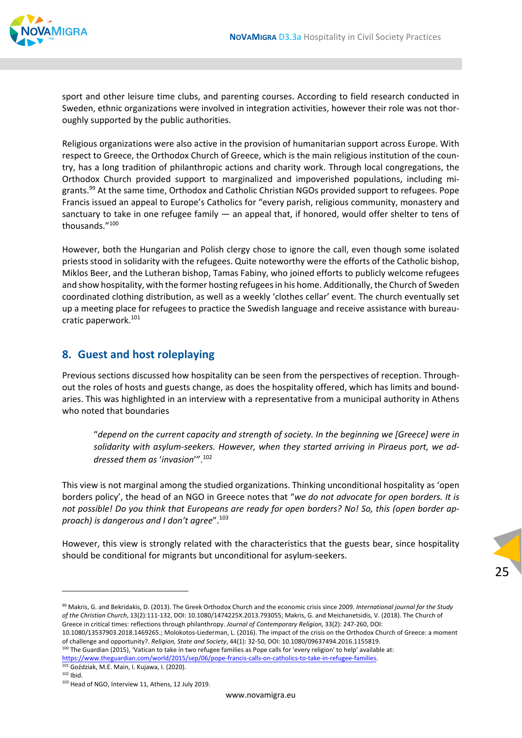

sport and other leisure time clubs, and parenting courses. According to field research conducted in Sweden, ethnic organizations were involved in integration activities, however their role was not thoroughly supported by the public authorities.

Religious organizations were also active in the provision of humanitarian support across Europe. With respect to Greece, the Orthodox Church of Greece, which is the main religious institution of the country, has a long tradition of philanthropic actions and charity work. Through local congregations, the Orthodox Church provided support to marginalized and impoverished populations, including mi‐ grants.<sup>99</sup> At the same time, Orthodox and Catholic Christian NGOs provided support to refugees. Pope Francis issued an appeal to Europe's Catholics for "every parish, religious community, monastery and sanctuary to take in one refugee family — an appeal that, if honored, would offer shelter to tens of thousands."100

However, both the Hungarian and Polish clergy chose to ignore the call, even though some isolated priests stood in solidarity with the refugees. Quite noteworthy were the efforts of the Catholic bishop, Miklos Beer, and the Lutheran bishop, Tamas Fabiny, who joined efforts to publicly welcome refugees and show hospitality, with the former hosting refugeesin his home. Additionally, the Church of Sweden coordinated clothing distribution, as well as a weekly 'clothes cellar' event. The church eventually set up a meeting place for refugees to practice the Swedish language and receive assistance with bureau‐ cratic paperwork.<sup>101</sup>

#### **8. Guest and host roleplaying**

Previous sections discussed how hospitality can be seen from the perspectives of reception. Through‐ out the roles of hosts and guests change, as does the hospitality offered, which has limits and boundaries. This was highlighted in an interview with a representative from a municipal authority in Athens who noted that boundaries

"*depend on the current capacity and strength of society. In the beginning we [Greece] were in solidarity with asylum‐seekers. However, when they started arriving in Piraeus port, we ad‐ dressed them as* '*invasion*'".102

This view is not marginal among the studied organizations. Thinking unconditional hospitality as 'open borders policy', the head of an NGO in Greece notes that "*we do not advocate for open borders. It is* not possible! Do you think that Europeans are ready for open borders? No! So, this (open border ap*proach) is dangerous and I don't agree*".103

However, this view is strongly related with the characteristics that the guests bear, since hospitality should be conditional for migrants but unconditional for asylum‐seekers.

25

10.1080/13537903.2018.1469265.; Molokotos‐Liederman, L. (2016). The impact of the crisis on the Orthodox Church of Greece: a moment of challenge and opportunity?. *Religion, State and Society*, 44(1): 32‐50, DOI: 10.1080/09637494.2016.1155819.

<sup>100</sup> The Guardian (2015), 'Vatican to take in two refugee families as Pope calls for 'every religion' to help' available at:

https://www.theguardian.com/world/2015/sep/06/pope‐francis‐calls‐on‐catholics‐to‐take‐in‐refugee‐families. <sup>101</sup> Goździak, M.E. Main, I. Kujawa, I. (2020).

 $102$  Ibid.

<sup>99</sup> Makris, G. and Bekridakis, D. (2013). The Greek Orthodox Church and the economic crisis since 2009. *International journal for the Study of the Christian Church*, 13(2):111‐132, DOI: 10.1080/1474225X.2013.793055; Makris, G. and Meichanetsidis, V. (2018). The Church of Greece in critical times: reflections through philanthropy. *Journal of Contemporary Religion*, 33(2): 247‐260, DOI:

<sup>103</sup> Head of NGO, Interview 11, Athens, 12 July 2019.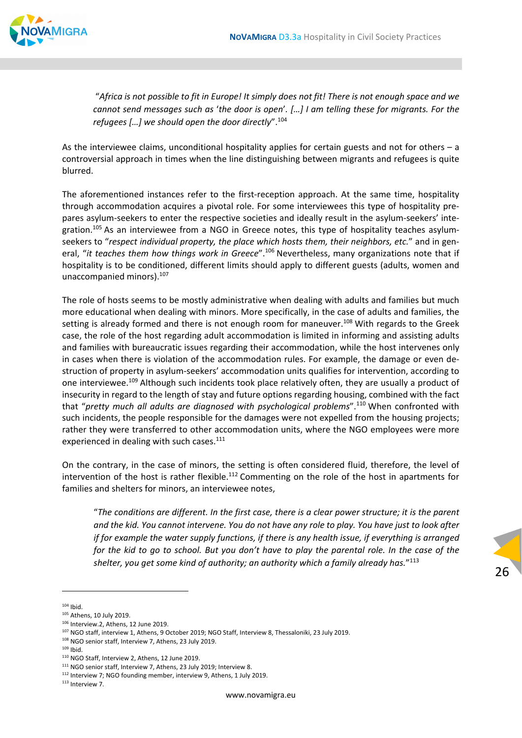

"Africa is not possible to fit in Europe! It simply does not fit! There is not enough space and we cannot send messages such as 'the door is open'. [...] I am telling these for migrants. For the *refugees […] we should open the door directly*".104

As the interviewee claims, unconditional hospitality applies for certain guests and not for others – a controversial approach in times when the line distinguishing between migrants and refugees is quite blurred.

The aforementioned instances refer to the first-reception approach. At the same time, hospitality through accommodation acquires a pivotal role. For some interviewees this type of hospitality pre‐ pares asylum-seekers to enter the respective societies and ideally result in the asylum-seekers' integration.<sup>105</sup> As an interviewee from a NGO in Greece notes, this type of hospitality teaches asylumseekers to "*respect individual property, the place which hosts them, their neighbors, etc.*" and in gen‐ eral, "*it teaches them how things work in Greece*".106 Nevertheless, many organizations note that if hospitality is to be conditioned, different limits should apply to different guests (adults, women and unaccompanied minors).<sup>107</sup>

The role of hosts seems to be mostly administrative when dealing with adults and families but much more educational when dealing with minors. More specifically, in the case of adults and families, the setting is already formed and there is not enough room for maneuver.<sup>108</sup> With regards to the Greek case, the role of the host regarding adult accommodation is limited in informing and assisting adults and families with bureaucratic issues regarding their accommodation, while the host intervenes only in cases when there is violation of the accommodation rules. For example, the damage or even de‐ struction of property in asylum‐seekers' accommodation units qualifies for intervention, according to one interviewee.<sup>109</sup> Although such incidents took place relatively often, they are usually a product of insecurity in regard to the length of stay and future options regarding housing, combined with the fact that "*pretty much all adults are diagnosed with psychological problems*".110 When confronted with such incidents, the people responsible for the damages were not expelled from the housing projects; rather they were transferred to other accommodation units, where the NGO employees were more experienced in dealing with such cases.<sup>111</sup>

On the contrary, in the case of minors, the setting is often considered fluid, therefore, the level of intervention of the host is rather flexible.<sup>112</sup> Commenting on the role of the host in apartments for families and shelters for minors, an interviewee notes,

"The conditions are different. In the first case, there is a clear power structure; it is the parent and the kid. You cannot intervene. You do not have any role to play. You have just to look after *if for example the water supply functions, if there is any health issue, if everything is arranged* for the kid to go to school. But you don't have to play the parental role. In the case of the *shelter, you get some kind of authority; an authority which a family already has.*"113

 $104$  Ibid.

<sup>105</sup> Athens, 10 July 2019.

<sup>106</sup> Interview.2, Athens, 12 June 2019.

<sup>107</sup> NGO staff, interview 1, Athens, 9 October 2019; NGO Staff, Interview 8, Thessaloniki, 23 July 2019.

<sup>108</sup> NGO senior staff, Interview 7, Athens, 23 July 2019.

 $109$  Ibid.

<sup>110</sup> NGO Staff, Interview 2, Athens, 12 June 2019.

<sup>&</sup>lt;sup>111</sup> NGO senior staff, Interview 7, Athens, 23 July 2019; Interview 8.

<sup>112</sup> Interview 7; NGO founding member, interview 9, Athens, 1 July 2019.

<sup>113</sup> Interview 7.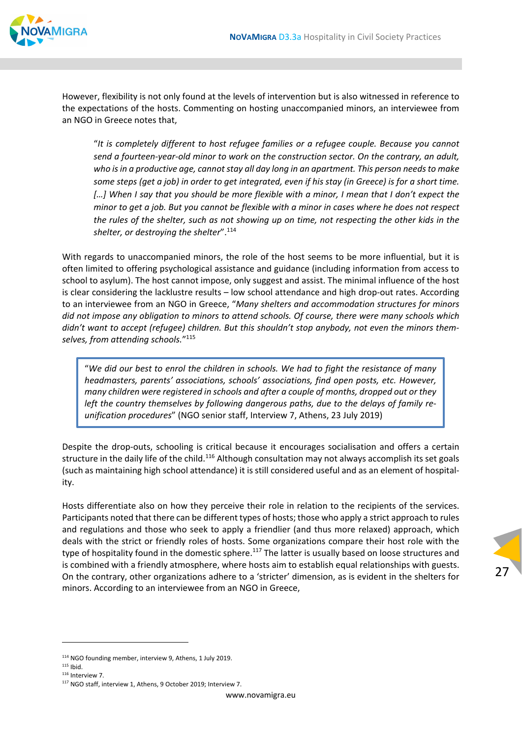

However, flexibility is not only found at the levels of intervention but is also witnessed in reference to the expectations of the hosts. Commenting on hosting unaccompanied minors, an interviewee from an NGO in Greece notes that,

"*It is completely different to host refugee families or a refugee couple. Because you cannot* send a fourteen-year-old minor to work on the construction sector. On the contrary, an adult, *who isin a productive age, cannotstay all day long in an apartment. This person needsto make* some steps (get a job) in order to get integrated, even if his stay (in Greece) is for a short time. [...] When I say that you should be more flexible with a minor, I mean that I don't expect the minor to get a job. But you cannot be flexible with a minor in cases where he does not respect the rules of the shelter, such as not showing up on time, not respecting the other kids in the *shelter, or destroying the shelter*".114

With regards to unaccompanied minors, the role of the host seems to be more influential, but it is often limited to offering psychological assistance and guidance (including information from access to school to asylum). The host cannot impose, only suggest and assist. The minimal influence of the host is clear considering the lacklustre results – low school attendance and high drop‐out rates. According to an interviewee from an NGO in Greece, "*Many shelters and accommodation structures for minors did not impose any obligation to minors to attend schools. Of course, there were many schools which didn't want to accept (refugee) children. But this shouldn't stop anybody, not even the minors them‐ selves, from attending schools.*"115

"*We did our best to enrol the children in schools. We had to fight the resistance of many headmasters, parents' associations, schools' associations, find open posts, etc. However, many children were registered in schools and after a couple of months, dropped out or they left the country themselves by following dangerous paths, due to the delays of family re‐ unification procedures*" (NGO senior staff, Interview 7, Athens, 23 July 2019)

Despite the drop-outs, schooling is critical because it encourages socialisation and offers a certain structure in the daily life of the child.<sup>116</sup> Although consultation may not always accomplish its set goals (such as maintaining high school attendance) it is still considered useful and as an element of hospital‐ ity.

Hosts differentiate also on how they perceive their role in relation to the recipients of the services. Participants noted that there can be different types of hosts; those who apply a strict approach to rules and regulations and those who seek to apply a friendlier (and thus more relaxed) approach, which deals with the strict or friendly roles of hosts. Some organizations compare their host role with the type of hospitality found in the domestic sphere.<sup>117</sup> The latter is usually based on loose structures and is combined with a friendly atmosphere, where hosts aim to establish equal relationships with guests. On the contrary, other organizations adhere to a 'stricter' dimension, as is evident in the shelters for minors. According to an interviewee from an NGO in Greece,



- $115$  Ibid.
- <sup>116</sup> Interview 7.

<sup>114</sup> NGO founding member, interview 9, Athens, 1 July 2019.

<sup>117</sup> NGO staff, interview 1, Athens, 9 October 2019; Interview 7.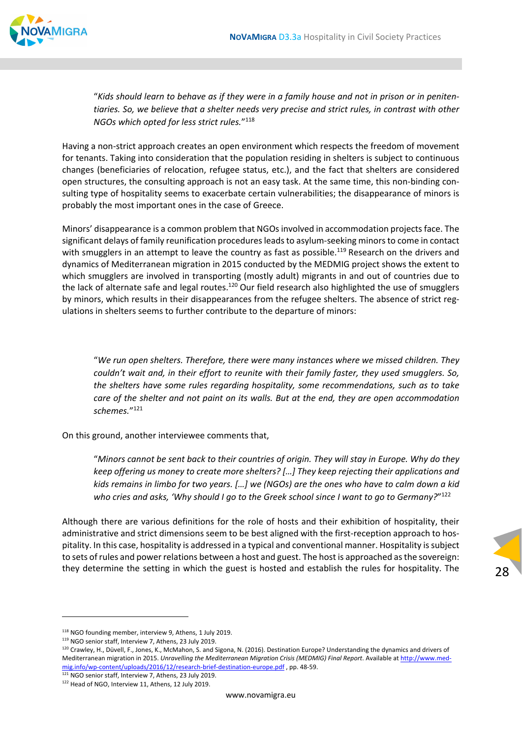

"Kids should learn to behave as if they were in a family house and not in prison or in peniten*tiaries. So, we believe that a shelter needs very precise and strict rules, in contrast with other NGOs which opted for less strict rules.*"118

Having a non‐strict approach creates an open environment which respects the freedom of movement for tenants. Taking into consideration that the population residing in shelters is subject to continuous changes (beneficiaries of relocation, refugee status, etc.), and the fact that shelters are considered open structures, the consulting approach is not an easy task. At the same time, this non‐binding con‐ sulting type of hospitality seems to exacerbate certain vulnerabilities; the disappearance of minors is probably the most important ones in the case of Greece.

Minors' disappearance is a common problem that NGOs involved in accommodation projects face. The significant delays of family reunification procedures leads to asylum-seeking minors to come in contact with smugglers in an attempt to leave the country as fast as possible.<sup>119</sup> Research on the drivers and dynamics of Mediterranean migration in 2015 conducted by the MEDMIG project shows the extent to which smugglers are involved in transporting (mostly adult) migrants in and out of countries due to the lack of alternate safe and legal routes.<sup>120</sup> Our field research also highlighted the use of smugglers by minors, which results in their disappearances from the refugee shelters. The absence of strict regulations in shelters seems to further contribute to the departure of minors:

"*We run open shelters. Therefore, there were many instances where we missed children. They couldn't wait and, in their effort to reunite with their family faster, they used smugglers. So, the shelters have some rules regarding hospitality, some recommendations, such as to take care of the shelter and not paint on its walls. But at the end, they are open accommodation schemes.*"121

On this ground, another interviewee comments that,

"*Minors cannot be sent back to their countries of origin. They will stay in Europe. Why do they keep offering us money to create more shelters? […] They keep rejecting their applications and* kids remains in limbo for two years. [...] we (NGOs) are the ones who have to calm down a kid *who cries and asks, 'Why should I go to the Greek school since I want to go to Germany?*"122

Although there are various definitions for the role of hosts and their exhibition of hospitality, their administrative and strict dimensions seem to be best aligned with the first-reception approach to hospitality. In this case, hospitality is addressed in a typical and conventional manner. Hospitality issubject to sets of rules and power relations between a host and guest. The host is approached asthe sovereign: they determine the setting in which the guest is hosted and establish the rules for hospitality. The

28

119 NGO senior staff, Interview 7, Athens, 23 July 2019.

<sup>118</sup> NGO founding member, interview 9, Athens, 1 July 2019.

<sup>120</sup> Crawley, H., Düvell, F., Jones, K., McMahon, S. and Sigona, N. (2016). Destination Europe? Understanding the dynamics and drivers of Mediterranean migration in 2015. *Unravelling the Mediterranean Migration Crisis (MEDMIG) Final Report*. Available at http://www.med‐ mig.info/wp‐content/uploads/2016/12/research‐brief‐destination‐europe.pdf , pp. 48‐59.

<sup>&</sup>lt;sup>121</sup> NGO senior staff, Interview 7, Athens, 23 July 2019.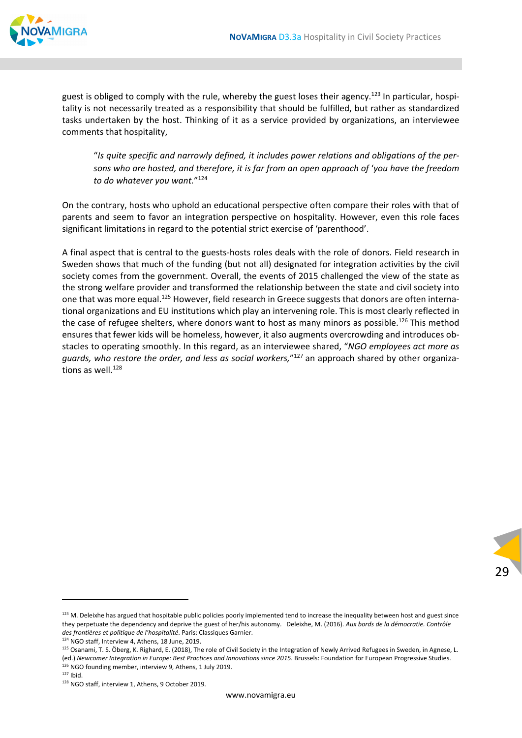

guest is obliged to comply with the rule, whereby the guest loses their agency.<sup>123</sup> In particular, hospitality is not necessarily treated as a responsibility that should be fulfilled, but rather as standardized tasks undertaken by the host. Thinking of it as a service provided by organizations, an interviewee comments that hospitality,

"*Is quite specific and narrowly defined, it includes power relations and obligations of the per‐ sons who are hosted, and therefore, it is far from an open approach of* '*you have the freedom to do whatever you want.*"124

On the contrary, hosts who uphold an educational perspective often compare their roles with that of parents and seem to favor an integration perspective on hospitality. However, even this role faces significant limitations in regard to the potential strict exercise of 'parenthood'.

A final aspect that is central to the guests‐hosts roles deals with the role of donors. Field research in Sweden shows that much of the funding (but not all) designated for integration activities by the civil society comes from the government. Overall, the events of 2015 challenged the view of the state as the strong welfare provider and transformed the relationship between the state and civil society into one that was more equal.<sup>125</sup> However, field research in Greece suggests that donors are often international organizations and EU institutions which play an intervening role. This is most clearly reflected in the case of refugee shelters, where donors want to host as many minors as possible.<sup>126</sup> This method ensures that fewer kids will be homeless, however, it also augments overcrowding and introduces ob‐ stacles to operating smoothly. In this regard, as an interviewee shared, "*NGO employees act more as guards, who restore the order, and less as social workers,*"127 an approach shared by other organiza‐ tions as well. $128$ 

<sup>&</sup>lt;sup>123</sup> M. Deleixhe has argued that hospitable public policies poorly implemented tend to increase the inequality between host and guest since they perpetuate the dependency and deprive the guest of her/his autonomy. Deleixhe, M. (2016). *Aux bords de la démocratie. Contrôle des frontières et politique de l'hospitalité*. Paris: Classiques Garnier.

<sup>124</sup> NGO staff, Interview 4, Athens, 18 June, 2019.

<sup>&</sup>lt;sup>125</sup> Osanami, T. S. Öberg, K. Righard, E. (2018). The role of Civil Society in the Integration of Newly Arrived Refugees in Sweden, in Agnese, L. (ed.) *Newcomer Integration in Europe: Best Practices and Innovations since 2015*. Brussels: Foundation for European Progressive Studies. <sup>126</sup> NGO founding member, interview 9, Athens, 1 July 2019.

 $127$  Ibid.

<sup>128</sup> NGO staff, interview 1, Athens, 9 October 2019.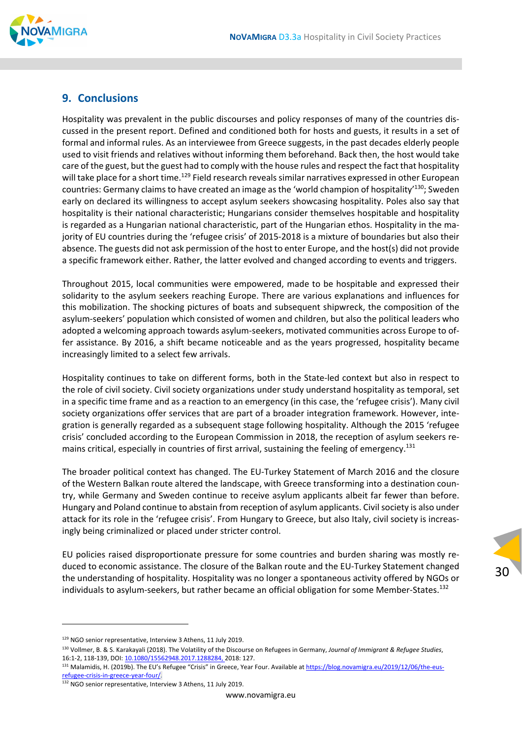## **9. Conclusions**

Hospitality was prevalent in the public discourses and policy responses of many of the countries dis‐ cussed in the present report. Defined and conditioned both for hosts and guests, it results in a set of formal and informal rules. As an interviewee from Greece suggests, in the past decades elderly people used to visit friends and relatives without informing them beforehand. Back then, the host would take care of the guest, but the guest had to comply with the house rules and respect the fact that hospitality will take place for a short time.<sup>129</sup> Field research reveals similar narratives expressed in other European countries: Germany claims to have created an image as the 'world champion of hospitality'130; Sweden early on declared its willingness to accept asylum seekers showcasing hospitality. Poles also say that hospitality is their national characteristic; Hungarians consider themselves hospitable and hospitality is regarded as a Hungarian national characteristic, part of the Hungarian ethos. Hospitality in the majority of EU countries during the 'refugee crisis' of 2015-2018 is a mixture of boundaries but also their absence. The guests did not ask permission of the host to enter Europe, and the host(s) did not provide a specific framework either. Rather, the latter evolved and changed according to events and triggers.

Throughout 2015, local communities were empowered, made to be hospitable and expressed their solidarity to the asylum seekers reaching Europe. There are various explanations and influences for this mobilization. The shocking pictures of boats and subsequent shipwreck, the composition of the asylum‐seekers' population which consisted of women and children, but also the political leaders who adopted a welcoming approach towards asylum‐seekers, motivated communities across Europe to of‐ fer assistance. By 2016, a shift became noticeable and as the years progressed, hospitality became increasingly limited to a select few arrivals.

Hospitality continues to take on different forms, both in the State‐led context but also in respect to the role of civil society. Civil society organizations under study understand hospitality as temporal, set in a specific time frame and as a reaction to an emergency (in this case, the 'refugee crisis'). Many civil society organizations offer services that are part of a broader integration framework. However, integration is generally regarded as a subsequent stage following hospitality. Although the 2015 'refugee crisis' concluded according to the European Commission in 2018, the reception of asylum seekers re‐ mains critical, especially in countries of first arrival, sustaining the feeling of emergency.<sup>131</sup>

The broader political context has changed. The EU‐Turkey Statement of March 2016 and the closure of the Western Balkan route altered the landscape, with Greece transforming into a destination coun‐ try, while Germany and Sweden continue to receive asylum applicants albeit far fewer than before. Hungary and Poland continue to abstain from reception of asylum applicants. Civil society is also under attack for its role in the 'refugee crisis'. From Hungary to Greece, but also Italy, civil society is increas‐ ingly being criminalized or placed under stricter control.

EU policies raised disproportionate pressure for some countries and burden sharing was mostly re‐ duced to economic assistance. The closure of the Balkan route and the EU‐Turkey Statement changed the understanding of hospitality. Hospitality was no longer a spontaneous activity offered by NGOs or individuals to asylum-seekers, but rather became an official obligation for some Member-States.<sup>132</sup>

<sup>129</sup> NGO senior representative, Interview 3 Athens, 11 July 2019.

<sup>130</sup> Vollmer, B. & S. Karakayali (2018). The Volatility of the Discourse on Refugees in Germany, *Journal of Immigrant & Refugee Studies*, 16:1‐2, 118‐139, DOI: 10.1080/15562948.2017.1288284, 2018: 127.

<sup>131</sup> Malamidis, H. (2019b). The EU's Refugee "Crisis" in Greece, Year Four. Available at https://blog.novamigra.eu/2019/12/06/the-eusrefugee‐crisis‐in‐greece‐year‐four/.

<sup>132</sup> NGO senior representative, Interview 3 Athens, 11 July 2019.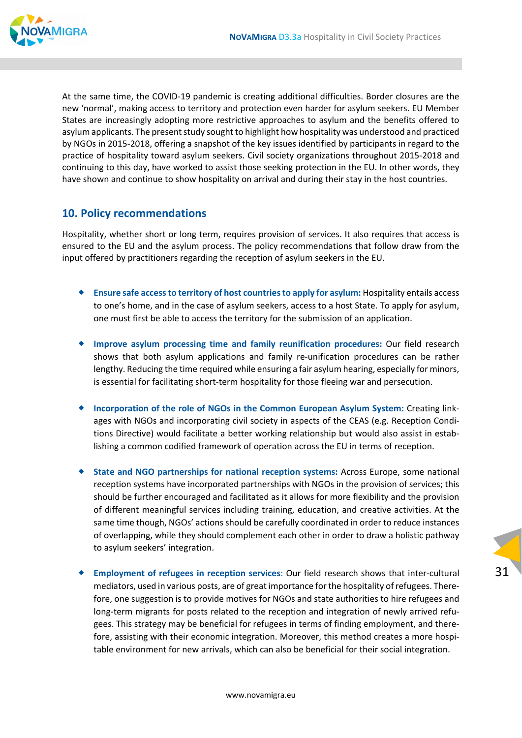

At the same time, the COVID‐19 pandemic is creating additional difficulties. Border closures are the new 'normal', making access to territory and protection even harder for asylum seekers. EU Member States are increasingly adopting more restrictive approaches to asylum and the benefits offered to asylum applicants. The present study sought to highlight how hospitality was understood and practiced by NGOs in 2015‐2018, offering a snapshot of the key issues identified by participants in regard to the practice of hospitality toward asylum seekers. Civil society organizations throughout 2015‐2018 and continuing to this day, have worked to assist those seeking protection in the EU. In other words, they have shown and continue to show hospitality on arrival and during their stay in the host countries.

#### **10. Policy recommendations**

Hospitality, whether short or long term, requires provision of services. It also requires that access is ensured to the EU and the asylum process. The policy recommendations that follow draw from the input offered by practitioners regarding the reception of asylum seekers in the EU.

- **Ensure safe accessto territory of host countriesto apply for asylum:** Hospitality entails access to one's home, and in the case of asylum seekers, access to a host State. To apply for asylum, one must first be able to access the territory for the submission of an application.
- **Improve asylum processing time and family reunification procedures:** Our field research shows that both asylum applications and family re-unification procedures can be rather lengthy. Reducing the time required while ensuring a fair asylum hearing, especially for minors, is essential for facilitating short-term hospitality for those fleeing war and persecution.
- **Incorporation of the role of NGOs in the Common European Asylum System:** Creating link‐ ages with NGOs and incorporating civil society in aspects of the CEAS (e.g. Reception Conditions Directive) would facilitate a better working relationship but would also assist in estab‐ lishing a common codified framework of operation across the EU in terms of reception.
- **State and NGO partnerships for national reception systems:** Across Europe, some national reception systems have incorporated partnerships with NGOs in the provision of services; this should be further encouraged and facilitated as it allows for more flexibility and the provision of different meaningful services including training, education, and creative activities. At the same time though, NGOs' actions should be carefully coordinated in order to reduce instances of overlapping, while they should complement each other in order to draw a holistic pathway to asylum seekers' integration.
- **Employment of refugees in reception services**: Our field research shows that inter‐cultural mediators, used in various posts, are of great importance for the hospitality of refugees. Therefore, one suggestion is to provide motives for NGOs and state authorities to hire refugees and long-term migrants for posts related to the reception and integration of newly arrived refugees. This strategy may be beneficial for refugees in terms of finding employment, and there‐ fore, assisting with their economic integration. Moreover, this method creates a more hospitable environment for new arrivals, which can also be beneficial for their social integration.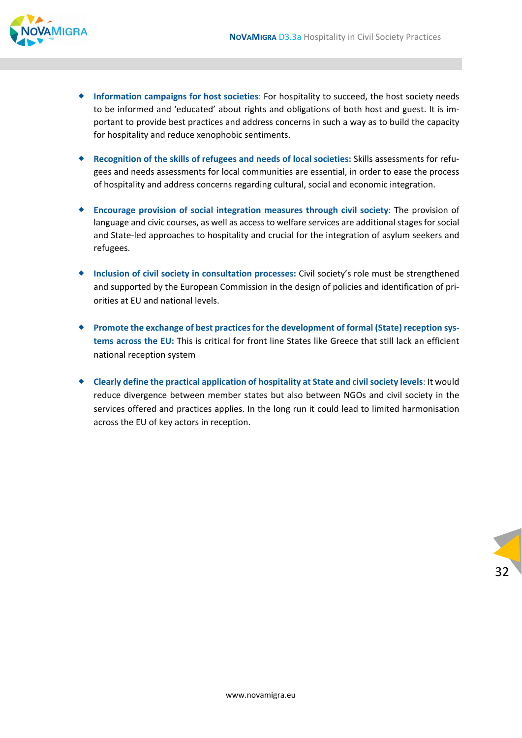

- **Information campaigns for host societies**: For hospitality to succeed, the host society needs to be informed and 'educated' about rights and obligations of both host and guest. It is im‐ portant to provide best practices and address concerns in such a way as to build the capacity for hospitality and reduce xenophobic sentiments.
- **Recognition of the skills of refugees and needs of local societies:** Skills assessments for refu‐ gees and needs assessments for local communities are essential, in order to ease the process of hospitality and address concerns regarding cultural, social and economic integration.
- **Encourage provision of social integration measures through civil society**: The provision of language and civic courses, as well as access to welfare services are additional stages for social and State‐led approaches to hospitality and crucial for the integration of asylum seekers and refugees.
- **Inclusion of civil society in consultation processes:** Civil society's role must be strengthened and supported by the European Commission in the design of policies and identification of pri‐ orities at EU and national levels.
- ◆ Promote the exchange of best practices for the development of formal (State) reception sys**tems across the EU:** This is critical for front line States like Greece that still lack an efficient national reception system
- **Clearly define the practical application of hospitality at State and civilsociety levels**: It would reduce divergence between member states but also between NGOs and civil society in the services offered and practices applies. In the long run it could lead to limited harmonisation across the EU of key actors in reception.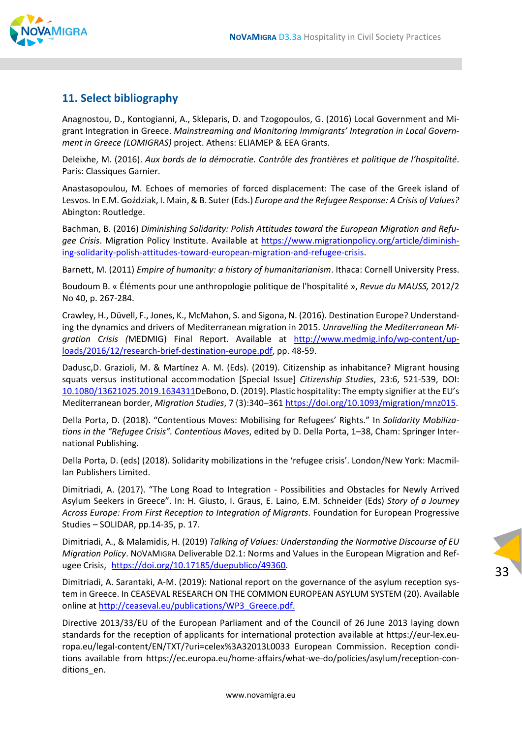

# **11. Select bibliography**

Anagnostou, D., Kontogianni, A., Skleparis, D. and Tzogopoulos, G. (2016) Local Government and Mi‐ grant Integration in Greece. *Mainstreaming and Monitoring Immigrants' Integration in Local Govern‐ ment in Greece (LOMIGRAS)* project. Athens: ELIAMEP & EEA Grants.

Deleixhe, M. (2016). *Aux bords de la démocratie. Contrôle des frontières et politique de l'hospitalité*. Paris: Classiques Garnier.

Anastasopoulou, M. Echoes of memories of forced displacement: The case of the Greek island of Lesvos. In E.M. Goździak, I. Main, & B. Suter (Eds.) *Europe and the Refugee Response: A Crisis of Values?* Abington: Routledge.

Bachman, B. (2016) *Diminishing Solidarity: Polish Attitudes toward the European Migration and Refu‐ gee Crisis*. Migration Policy Institute. Available at https://www.migrationpolicy.org/article/diminish‐ ing‐solidarity‐polish‐attitudes‐toward‐european‐migration‐and‐refugee‐crisis.

Barnett, M. (2011) *Empire of humanity: a history of humanitarianism*. Ithaca: Cornell University Press.

Boudoum B. « Éléments pour une anthropologie politique de l'hospitalité », *Revue du MAUSS,* 2012/2 No 40, p. 267‐284.

Crawley, H., Düvell, F., Jones, K., McMahon, S. and Sigona, N. (2016). Destination Europe? Understand‐ ing the dynamics and drivers of Mediterranean migration in 2015. *Unravelling the Mediterranean Mi‐ gration Crisis (*MEDMIG) Final Report. Available at http://www.medmig.info/wp‐content/up‐ loads/2016/12/research‐brief‐destination‐europe.pdf, pp. 48‐59.

Dadusc,D. Grazioli, M. & Martínez A. M. (Eds). (2019). Citizenship as inhabitance? Migrant housing squats versus institutional accommodation [Special Issue] *Citizenship Studies*, 23:6, 521‐539, DOI: 10.1080/13621025.2019.1634311DeBono, D. (2019). Plastic hospitality: The empty signifier at the EU's Mediterranean border, *Migration Studies*, 7 (3):340–361 https://doi.org/10.1093/migration/mnz015.

Della Porta, D. (2018). "Contentious Moves: Mobilising for Refugees' Rights." In *Solidarity Mobiliza‐ tions in the "Refugee Crisis". Contentious Moves*, edited by D. Della Porta, 1–38, Cham: Springer Inter‐ national Publishing.

Della Porta, D. (eds) (2018). Solidarity mobilizations in the 'refugee crisis'. London/New York: Macmil‐ lan Publishers Limited.

Dimitriadi, A. (2017). "The Long Road to Integration ‐ Possibilities and Obstacles for Newly Arrived Asylum Seekers in Greece". In: H. Giusto, I. Graus, E. Laino, E.M. Schneider (Eds) *Story of a Journey Across Europe: From First Reception to Integration of Migrants*. Foundation for European Progressive Studies – SOLIDAR, pp.14‐35, p. 17.

Dimitriadi, A., & Malamidis, H. (2019) *Talking of Values: Understanding the Normative Discourse of EU Migration Policy*. NOVAMIGRA Deliverable D2.1: Norms and Values in the European Migration and Ref‐ ugee Crisis, https://doi.org/10.17185/duepublico/49360.

Dimitriadi, A. Sarantaki, A‐M. (2019): National report on the governance of the asylum reception sys‐ tem in Greece. In CEASEVAL RESEARCH ON THE COMMON EUROPEAN ASYLUM SYSTEM (20). Available online at http://ceaseval.eu/publications/WP3\_Greece.pdf.

Directive 2013/33/EU of the European Parliament and of the Council of 26 June 2013 laying down standards for the reception of applicants for international protection available at https://eur‐lex.eu‐ ropa.eu/legal‐content/EN/TXT/?uri=celex%3A32013L0033 European Commission. Reception condi‐ tions available from https://ec.europa.eu/home-affairs/what-we-do/policies/asylum/reception-conditions en.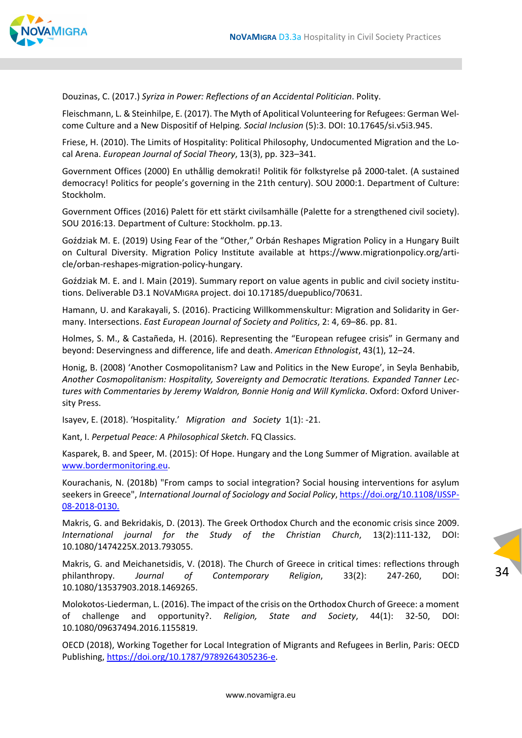

Douzinas, C. (2017.) *Syriza in Power: Reflections of an Accidental Politician*. Polity.

Fleischmann, L. & Steinhilpe, E. (2017). The Myth of Apolitical Volunteering for Refugees: German Wel‐ come Culture and a New Dispositif of Helping*. Social Inclusion* (5):3. DOI: 10.17645/si.v5i3.945.

Friese, H. (2010). The Limits of Hospitality: Political Philosophy, Undocumented Migration and the Lo‐ cal Arena. *European Journal of Social Theory*, 13(3), pp. 323–341.

Government Offices (2000) En uthållig demokrati! Politik för folkstyrelse på 2000‐talet. (A sustained democracy! Politics for people's governing in the 21th century). SOU 2000:1. Department of Culture: Stockholm.

Government Offices (2016) Palett för ett stärkt civilsamhälle (Palette for a strengthened civil society). SOU 2016:13. Department of Culture: Stockholm. pp.13.

Goździak M. E. (2019) Using Fear of the "Other," Orbán Reshapes Migration Policy in a Hungary Built on Cultural Diversity. Migration Policy Institute available at https://www.migrationpolicy.org/arti‐ cle/orban‐reshapes‐migration‐policy‐hungary.

Goździak M. E. and I. Main (2019). Summary report on value agents in public and civil society institu‐ tions. Deliverable D3.1 NOVAMIGRA project. doi 10.17185/duepublico/70631.

Hamann, U. and Karakayali, S. (2016). Practicing Willkommenskultur: Migration and Solidarity in Ger‐ many. Intersections. *East European Journal of Society and Politics*, 2: 4, 69–86. pp. 81.

Holmes, S. M., & Castañeda, H. (2016). Representing the "European refugee crisis" in Germany and beyond: Deservingness and difference, life and death. *American Ethnologist*, 43(1), 12–24.

Honig, B. (2008) 'Another Cosmopolitanism? Law and Politics in the New Europe', in Seyla Benhabib, *Another Cosmopolitanism: Hospitality, Sovereignty and Democratic Iterations. Expanded Tanner Lec‐ tures with Commentaries by Jeremy Waldron, Bonnie Honig and Will Kymlicka*. Oxford: Oxford Univer‐ sity Press.

Isayev, E. (2018). 'Hospitality.' *Migration and Society* 1(1): ‐21.

Kant, I. *Perpetual Peace: A Philosophical Sketch*. FQ Classics.

Kasparek, B. and Speer, M. (2015): Of Hope. Hungary and the Long Summer of Migration. available at www.bordermonitoring.eu.

Kourachanis, Ν. (2018b) "From camps to social integration? Social housing interventions for asylum seekers in Greece", *International Journal of Sociology and Social Policy*, https://doi.org/10.1108/IJSSP‐ 08‐2018‐0130.

Makris, G. and Bekridakis, D. (2013). The Greek Orthodox Church and the economic crisis since 2009. *International journal for the Study of the Christian Church*, 13(2):111‐132, DOI: 10.1080/1474225X.2013.793055.

Makris, G. and Meichanetsidis, V. (2018). The Church of Greece in critical times: reflections through philanthropy. *Journal of Contemporary Religion*, 33(2): 247‐260, DOI: 10.1080/13537903.2018.1469265.

34

Molokotos‐Liederman, L. (2016). The impact of the crisis on the Orthodox Church of Greece: a moment of challenge and opportunity?. *Religion, State and Society*, 44(1): 32‐50, DOI: 10.1080/09637494.2016.1155819.

OECD (2018), Working Together for Local Integration of Migrants and Refugees in Berlin, Paris: OECD Publishing, https://doi.org/10.1787/9789264305236‐e.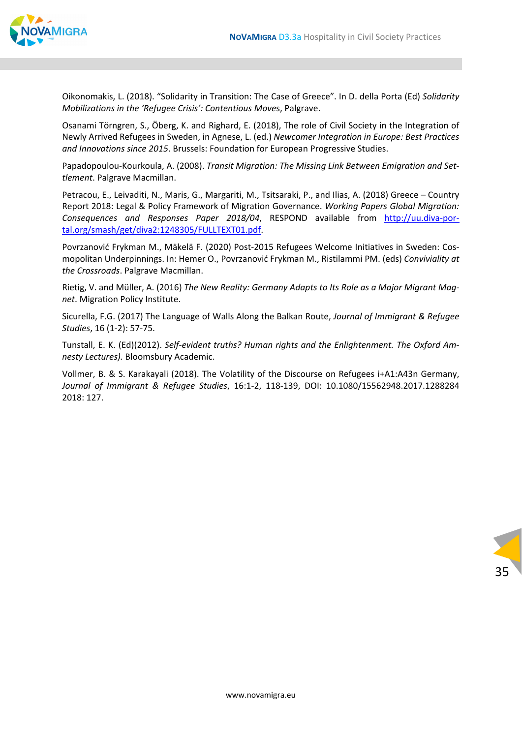

Oikonomakis, L. (2018). "Solidarity in Transition: The Case of Greece". In D. della Porta (Ed) *Solidarity Mobilizations in the 'Refugee Crisis': Contentious Move*s, Palgrave.

Osanami Törngren, S., Öberg, K. and Righard, E. (2018), The role of Civil Society in the Integration of Newly Arrived Refugees in Sweden, in Agnese, L. (ed.) *Newcomer Integration in Europe: Best Practices and Innovations since 2015*. Brussels: Foundation for European Progressive Studies.

Papadopoulou‐Kourkoula, A. (2008). *Transit Migration: The Missing Link Between Emigration and Set‐ tlement*. Palgrave Macmillan.

Petracou, E., Leivaditi, N., Maris, G., Margariti, M., Tsitsaraki, P., and Ilias, A. (2018) Greece – Country Report 2018: Legal & Policy Framework of Migration Governance. *Working Papers Global Migration: Consequences and Responses Paper 2018/04*, RESPOND available from http://uu.diva‐por‐ tal.org/smash/get/diva2:1248305/FULLTEXT01.pdf.

Povrzanović Frykman M., Mäkelä F. (2020) Post‐2015 Refugees Welcome Initiatives in Sweden: Cos‐ mopolitan Underpinnings. In: Hemer O., Povrzanović Frykman M., Ristilammi PM. (eds) *Conviviality at the Crossroads*. Palgrave Macmillan.

Rietig, V. and Müller, A. (2016) *The New Reality: Germany Adapts to Its Role as a Major Migrant Mag‐ net*. Migration Policy Institute.

Sicurella, F.G. (2017) The Language of Walls Along the Balkan Route, *Journal of Immigrant & Refugee Studies*, 16 (1‐2): 57‐75.

Tunstall, E. K. (Ed)(2012). *Self‐evident truths? Human rights and the Enlightenment. The Oxford Am‐ nesty Lectures).* Bloomsbury Academic.

Vollmer, B. & S. Karakayali (2018). The Volatility of the Discourse on Refugees i+A1:A43n Germany, *Journal of Immigrant & Refugee Studies*, 16:1‐2, 118‐139, DOI: 10.1080/15562948.2017.1288284 2018: 127.

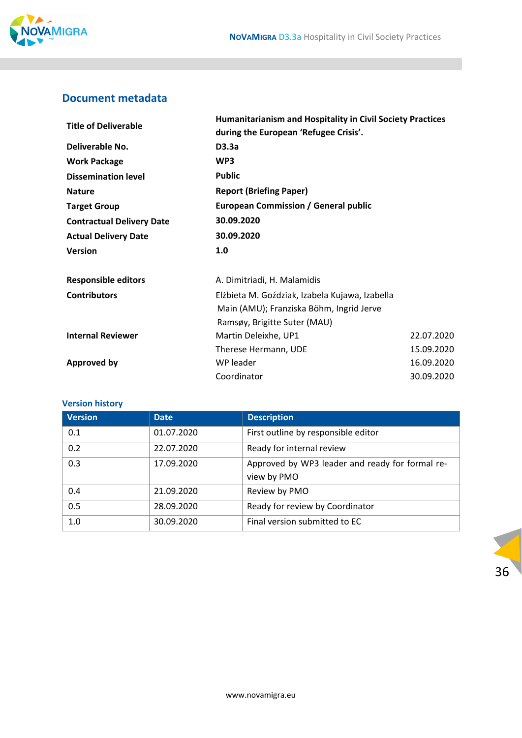

# **Document metadata**

| <b>Title of Deliverable</b>      | <b>Humanitarianism and Hospitality in Civil Society Practices</b><br>during the European 'Refugee Crisis'. |            |  |  |
|----------------------------------|------------------------------------------------------------------------------------------------------------|------------|--|--|
| Deliverable No.                  | D3.3a                                                                                                      |            |  |  |
| <b>Work Package</b>              | WP3                                                                                                        |            |  |  |
| <b>Dissemination level</b>       | <b>Public</b>                                                                                              |            |  |  |
| <b>Nature</b>                    | <b>Report (Briefing Paper)</b>                                                                             |            |  |  |
| <b>Target Group</b>              | <b>European Commission / General public</b>                                                                |            |  |  |
| <b>Contractual Delivery Date</b> | 30.09.2020                                                                                                 |            |  |  |
| <b>Actual Delivery Date</b>      | 30.09.2020                                                                                                 |            |  |  |
| <b>Version</b>                   | 1.0                                                                                                        |            |  |  |
| <b>Responsible editors</b>       | A. Dimitriadi, H. Malamidis                                                                                |            |  |  |
| <b>Contributors</b>              | Elżbieta M. Goździak, Izabela Kujawa, Izabella                                                             |            |  |  |
|                                  | Main (AMU); Franziska Böhm, Ingrid Jerve                                                                   |            |  |  |
|                                  | Ramsøy, Brigitte Suter (MAU)                                                                               |            |  |  |
| <b>Internal Reviewer</b>         | Martin Deleixhe, UP1                                                                                       | 22.07.2020 |  |  |
|                                  | Therese Hermann, UDE                                                                                       | 15.09.2020 |  |  |
| <b>Approved by</b>               | WP leader<br>16.09.2020                                                                                    |            |  |  |
|                                  | Coordinator                                                                                                | 30.09.2020 |  |  |

#### **Version history**

| <b>Version</b> | <b>Date</b> | <b>Description</b>                              |
|----------------|-------------|-------------------------------------------------|
| 0.1            | 01.07.2020  | First outline by responsible editor             |
| 0.2            | 22.07.2020  | Ready for internal review                       |
| 0.3            | 17.09.2020  | Approved by WP3 leader and ready for formal re- |
|                |             | view by PMO                                     |
| 0.4            | 21.09.2020  | Review by PMO                                   |
| 0.5            | 28.09.2020  | Ready for review by Coordinator                 |
| 1.0            | 30.09.2020  | Final version submitted to EC                   |